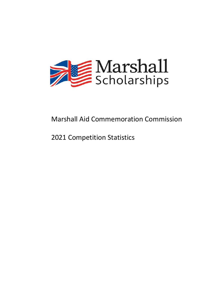

# Marshall Aid Commemoration Commission

# 2021 Competition Statistics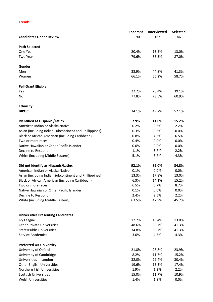# **Trends**

|                                                        | <b>Endorsed</b> | Interviewed | <b>Selected</b> |
|--------------------------------------------------------|-----------------|-------------|-----------------|
| <b>Candidates Under Review</b>                         | 1190            | 163         | 46              |
|                                                        |                 |             |                 |
| <b>Path Selected</b><br>One Year                       | 20.4%           | 13.5%       | 13.0%           |
| Two Year                                               | 79.6%           | 86.5%       | 87.0%           |
|                                                        |                 |             |                 |
| Gender                                                 |                 |             |                 |
| Men                                                    | 33.9%           | 44.8%       | 41.3%           |
| Women                                                  | 66.1%           | 55.2%       | 58.7%           |
| <b>Pell Grant Eligible</b>                             |                 |             |                 |
| Yes                                                    | 22.2%           | 26.4%       | 39.1%           |
| No                                                     | 77.8%           | 73.6%       | 60.9%           |
|                                                        |                 |             |                 |
| <b>Ethnicity</b><br><b>BIPOC</b>                       | 34.1%           | 49.7%       | 52.1%           |
|                                                        |                 |             |                 |
| <b>Identified as Hispanic / Latinx</b>                 | 7.9%            | 11.0%       | 15.2%           |
| American Indian or Alaska Native                       | 0.2%            | 0.6%        | 2.2%            |
| Asian (including Indian Subcontinent and Phillippines) | 0.3%            | 0.6%        | 0.0%            |
| Black or African American (including Caribbean)        | 0.8%            | 4.3%        | 6.5%            |
| Two or more races                                      | 0.4%            | 0.0%        | 0.0%            |
| Native Hawaiian or Other Pacific Islander              | 0.0%            | 0.0%        | 0.0%            |
| Decline to Respond                                     | 1.1%            | 3.7%        | 2.2%            |
| White (including Middle Eastern)                       | 5.1%            | 3.7%        | 4.3%            |
| Did not Identify as Hispanic/Latinx                    | 92.1%           | 89.0%       | 84.8%           |
| American Indian or Alaska Native                       | 0.1%            | 0.0%        | 0.0%            |
| Asian (including Indian Subcontinent and Phillippines) | 13.3%           | 17.8%       | 13.0%           |
| Black or African American (including Caribbean)        | 6.3%            | 14.1%       | 15.2%           |
| Two or more races                                      | 6.5%            | 6.7%        | 8.7%            |
| Native Hawaiian or Other Pacific Islander              | 0.1%            | 0.0%        | 0.0%            |
| Decline to Respond                                     | 2.4%            | 2.5%        | 2.2%            |
| White (including Middle Eastern)                       | 63.5%           | 47.9%       | 45.7%           |
|                                                        |                 |             |                 |
| <b>Universities Presenting Candidates</b>              |                 |             |                 |
| Ivy League                                             | 12.7%           | 18.4%       | 13.0%           |
| <b>Other Private Universities</b>                      | 48.6%           | 38.7%       | 41.3%           |
| <b>State/Public Universities</b>                       | 34.8%           | 38.7%       | 41.3%           |
| <b>Service Academies</b>                               | 3.0%            | 4.3%        | 4.3%            |
|                                                        |                 |             |                 |
| <b>Preferred UK University</b>                         |                 |             |                 |
| University of Oxford                                   | 21.8%           | 28.8%       | 23.9%           |
| University of Cambridge                                | 8.2%            | 11.7%       | 15.2%           |
| Universities in London                                 | 32.0%           | 29.4%       | 30.4%           |
| <b>Other English Universities</b>                      | 19.6%           | 15.3%       | 17.4%           |
| Northern Irish Universities                            | 1.9%            | 1.2%        | 2.2%            |
| <b>Scottish Universities</b>                           | 15.0%           | 11.7%       | 10.9%           |
| <b>Welsh Universities</b>                              | 1.4%            | 1.8%        | 0.0%            |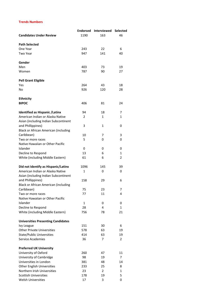## **Trends Numbers**

|                                             | <b>Endorsed</b> | <b>Interviewed</b> | Selected |
|---------------------------------------------|-----------------|--------------------|----------|
| <b>Candidates Under Review</b>              | 1190            | 163                | 46       |
|                                             |                 |                    |          |
| <b>Path Selected</b>                        |                 |                    |          |
| One Year                                    | 243             | 22                 | 6        |
| Two Year                                    | 947             | 141                | 40       |
| Gender                                      |                 |                    |          |
| Men                                         | 403             | 73                 | 19       |
| Women                                       | 787             | 90                 | 27       |
| <b>Pell Grant Eligible</b>                  |                 |                    |          |
| Yes                                         | 264             | 43                 | 18       |
| No                                          | 926             | 120                | 28       |
| <b>Ethnicity</b>                            |                 |                    |          |
| <b>BIPOC</b>                                | 406             | 81                 | 24       |
|                                             |                 |                    |          |
| <b>Identified as Hispanic / Latinx</b>      | 94              | 18                 | 7        |
| American Indian or Alaska Native            | $\overline{2}$  | 1                  | 1        |
| Asian (including Indian Subcontinent        |                 |                    |          |
| and Phillippines)                           | 3               | 1                  | 0        |
| <b>Black or African American (including</b> |                 |                    |          |
| Caribbean)                                  | 10              | 7                  | 3        |
| Two or more races                           | 5               | 0                  | 0        |
| Native Hawaiian or Other Pacific            |                 |                    |          |
| Islander                                    | 0               | 0                  | 0        |
| Decline to Respond                          | 13              | 6                  | 1        |
| White (including Middle Eastern)            | 61              | 6                  | 2        |
| Did not Identify as Hispanic/Latinx         | 1096            | 145                | 39       |
| American Indian or Alaska Native            | $\mathbf{1}$    | 0                  | 0        |
| Asian (including Indian Subcontinent        |                 |                    |          |
| and Phillippines)                           | 158             | 29                 | 6        |
| <b>Black or African American (including</b> |                 |                    |          |
| Caribbean)                                  | 75              | 23                 | 7        |
| Two or more races                           | 77              | 11                 | 4        |
| Native Hawaiian or Other Pacific            |                 |                    |          |
| Islander                                    | 1               | 0                  | 0        |
| Decline to Respond                          | 28              | 4                  | 1        |
| White (including Middle Eastern)            | 756             | 78                 | 21       |
| <b>Universities Presenting Candidates</b>   |                 |                    |          |
| <b>Ivy League</b>                           | 151             | 30                 | 6        |
| <b>Other Private Universities</b>           | 578             | 63                 | 19       |
| <b>State/Public Universities</b>            | 414             | 63                 | 19       |
| <b>Service Academies</b>                    | 36              | 7                  | 2        |
| <b>Preferred UK University</b>              |                 |                    |          |
| University of Oxford                        | 260             | 47                 | 11       |
| University of Cambridge                     | 98              | 19                 | 7        |
| Universities in London                      | 381             | 48                 | 14       |
| Other English Universities                  | 233             | 25                 | 8        |
| Northern Irish Universities                 | 23              | 2                  | 1        |
| <b>Scottish Universities</b>                | 178             | 19                 | 5        |
| Welsh Universities                          | 17              | 3                  | 0        |
|                                             |                 |                    |          |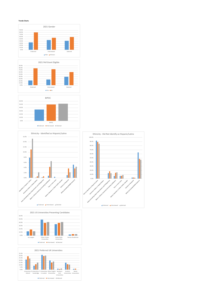#### **Trends Charts**









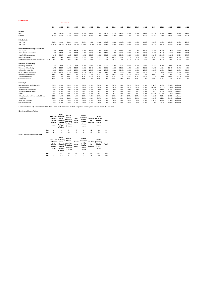|                                               |        |        | <b>Endorsed</b> |        |        |        |       |       |       |       |       |       |       |        |        |        |           |       |
|-----------------------------------------------|--------|--------|-----------------|--------|--------|--------|-------|-------|-------|-------|-------|-------|-------|--------|--------|--------|-----------|-------|
|                                               | 2004   | 2005   | 2006            | 2007   | 2008   | 2009   | 2010  | 2011  | 2012  | 2013  | 2014  | 2015  | 2016  | 2017   | 2018   | 2019   | 2020      | 2021  |
| Gender                                        |        |        |                 |        |        |        |       |       |       |       |       |       |       |        |        |        |           |       |
| Men                                           | 51.0%  | 48.1%  | 47.4%           | 50.0%  | 50.3%  | 49.4%  | 45.2% | 48.1% | 52.1% | 48.5% | 45.8% | 46.6% | 43.9% | 44.2%  | 42.9%  | 38.6%  | 37.7%     | 33.9% |
| Women                                         | 49.0%  | 51.9%  | 52.6%           | 50.0%  | 49.7%  | 50.6%  | 54.8% | 51.9% | 47.9% | 51.5% | 54.2% | 53.4% | 56.1% | 55.8%  | 57.1%  | 61.4%  | 62.3%     | 66.1% |
| <b>Path Selected</b>                          |        |        |                 |        |        |        |       |       |       |       |       |       |       |        |        |        |           |       |
| One Year                                      | 0.0%   | 0.0%   | 0.0%            | 0.0%   | 0.0%   | 0.0%   | 16.0% | 16.0% | 14.0% | 14.0% | 12.0% | 14.0% | 14.2% | 15.9%  | 14.0%  | 13.1%  | 12.6%     | 20.4% |
| Two Year                                      | 100.0% | 100.0% | 100.0%          | 100.0% | 100.0% | 100.0% | 84.0% | 84.0% | 86.0% | 86.0% | 88.0% | 86.0% | 85.8% | 84.1%  | 86.0%  | 86.9%  | 87.4%     | 79.6% |
| <b>Universities Presenting Candidates</b>     |        |        |                 |        |        |        |       |       |       |       |       |       |       |        |        |        |           |       |
| Ivy League                                    | 16.0%  | 11.8%  | 11.2%           | 12.3%  | 10.8%  | 10.7%  | 11.9% | 12.8% | 13.1% | 15.8% | 16.3% | 16.7% | 17.4% | 16.8%  | 15.50% | 15.74% | 13.6%     | 12.7% |
| Other Private Universities                    | 41.8%  | 52.2%  | 54.3%           | 51.5%  | 51.0%  | 46.7%  | 50.9% | 51.8% | 52.2% | 47.3% | 47.9% | 48.4% | 47.3% | 49.8%  | 49.41% | 50.50% | 47.1%     | 48.6% |
| State/Public Universities                     | 37.4%  | 30.1%  | 30.1%           | 31.3%  | 31.9%  | 30.2%  | 31.2% | 30.2% | 29.9% | 32.0% | 30.1% | 31.9% | 32.1% | 30.9%  | 33.05% | 30.10% | 35.3%     | 34.8% |
| Service Academies                             | 4.8%   | 5.4%   | 4.4%            | 4.5%   | 6.1%   | 5.3%   | 5.9%  | 5.2%  | 4.8%  | 4.2%  | 5.5%  | 3.0%  | 3.3%  | 2.5%   | 2.05%  | 3.66%  | 4.0%      | 3.0%  |
| Employer Endorsed - no longer offered as an o | 0.0%   | 0.5%   | 0.0%            | 0.4%   | 0.1%   | 0.3%   | 0.1%  | 0.0%  | 0.0%  | 1.0%  | 0.1%  | 0.1%  | 0.0%  | 0.0%   | 0.00%  | 0.0%   | 0.0%      | 0.0%  |
| <b>Preferred UK University</b>                |        |        |                 |        |        |        |       |       |       |       |       |       |       |        |        |        |           |       |
| University of Oxford                          | 32.3%  | 32.0%  | 31.5%           | 32.4%  | 30.9%  | 30.8%  | 28.0% | 29.3% | 26.9% | 28.2% | 29.1% | 31.0% | 27.6% | 25.5%  | 25.4%  | 24.6%  | 25.7%     | 21.6% |
| University of Cambridge                       | 12.7%  | 13.0%  | 12.9%           | 13.0%  | 12.3%  | 12.4%  | 11.4% | 12.9% | 11.6% | 11.2% | 11.4% | 11.3% | 10.3% | 10.6%  | 12.6%  | 10.4%  | 9.8%      | 8.2%  |
| Universities in London                        | 22.6%  | 25.7%  | 25.9%           | 26.7%  | 25.4%  | 26.3%  | 31.0% | 29.5% | 33.0% | 32.9% | 33.9% | 30.0% | 29.3% | 34.1%  | 32.8%  | 31.2%  | 33.7%     | 32.0% |
| Other English Universities                    | 20.9%  | 19.3%  | 18.7%           | 17.4%  | 20.1%  | 17.5%  | 18.6% | 17.6% | 17.5% | 15.9% | 16.4% | 16.3% | 15.1% | 17.1%  | 16.9%  | 19.9%  | 17.5%     | 19.6% |
| Nothern Irish Universities                    | 1.6%   | 0.9%   | 1.4%            | 1.0%   | 1.2%   | 1.7%   | 1.1%  | 1.5%  | 1.0%  | 0.7%  | 0.3%  | 1.0%  | 1.2%  | 1.0%   | 1.0%   | 1.4%   | 1.8%      | 1.9%  |
| <b>Scottish Universities</b>                  | 8.8%   | 7.6%   | 8.8%            | 8.5%   | 8.2%   | 10.3%  | 8.3%  | 7.9%  | 9.1%  | 10.3% | 7.8%  | 9.7%  | 15.3% | 11.4%  | 10.1%  | 11.5%  | 11.0%     | 15.0% |
| Welsh Universities                            | 1.3%   | 1.5%   | 0.7%            | 0.6%   | 1.8%   | 1.0%   | 1.5%  | 1.2%  | 0.8%  | 0.7%  | 1.0%  | 0.6%  | 1.3%  | 0.3%   | 1.2%   | 1.1%   | 0.5%      | 1.4%  |
| Ethnicity                                     |        |        |                 |        |        |        |       |       |       |       |       |       |       |        |        |        |           |       |
| American Indian or Alaska Native              | 0.0%   | 0.0%   | 0.0%            | 0.0%   | 0.0%   | 0.0%   | 0.0%  | 0.0%  | 0.0%  | 0.0%  | 0.0%  | 0.0%  | 0.0%  | 0.42%  | 0.65%  | 0.20%  | See below |       |
| Asian American                                | 0.0%   | 0.0%   | 0.0%            | 0.0%   | 0.0%   | 0.0%   | 0.0%  | 0.0%  | 0.0%  | 0.0%  | 0.0%  | 0.0%  | 0.0%  | 11.31% | 12.92% | 12.08% | See below |       |
| <b>Black or African American</b>              | 0.0%   | 0.0%   | 0.0%            | 0.0%   | 0.0%   | 0.0%   | 0.0%  | 0.0%  | 0.0%  | 0.0%  | 0.0%  | 0.0%  | 0.0%  | 5.07%  | 5.81%  | 5.35%  | See below |       |
| Hispanic/Latino American                      | 0.0%   | 0.0%   | 0.0%            | 0.0%   | 0.0%   | 0.0%   | 0.0%  | 0.0%  | 0.0%  | 0.0%  | 0.0%  | 0.0%  | 0.0%  | 3.07%  | 4.95%  | 5.64%  | See below |       |
| White                                         | 0.0%   | 0.0%   | 0.0%            | 0.0%   | 0.0%   | 0.0%   | 0.0%  | 0.0%  | 0.0%  | 0.0%  | 0.0%  | 0.0%  | 0.0%  | 69.77% | 67.60% | 67.43% | See below |       |
| Native Hawaiian or Other Pacific Islander     | 0.0%   | 0.0%   | 0.0%            | 0.0%   | 0.0%   | 0.0%   | 0.0%  | 0.0%  | 0.0%  | 0.0%  | 0.0%  | 0.0%  | 0.0%  | 0.11%  | 0.22%  | 0.10%  | See below |       |
| <b>Mixed Race</b>                             | 0.0%   | 0.0%   | 0.0%            | 0.0%   | 0.0%   | 0.0%   | 0.0%  | 0.0%  | 0.0%  | 0.0%  | 0.0%  | 0.0%  | 0.0%  | 5.29%  | 4.74%  | 5.64%  | See below |       |
| Prefer not to answer                          | 0.0%   | 0.0%   | 0.0%            | 0.0%   | 0.0%   | 0.0%   | 0.0%  | 0.0%  | 0.0%  | 0.0%  | 0.0%  | 0.0%  | 0.0%  | 4.97%  | 3.12%  | 3.56%  | See below |       |
| Overall percentage                            | 0.0%   | 0.0%   | 0.0%            | 0.0%   | 0.0%   | 0.0%   | 0.0%  | 0.0%  | 0.0%  | 0.0%  | 0.0%  | 0.0%  | 0.0%  | 25.0%  | 28.0%  | 29.0%  | See below |       |

\* reliable statistics only collected from 2017. New Format for data collected for 2020 competition summary data available later in this document.

#### **Identified as Hispanic/Latinx**

**Comparisons**

|                                     |      | Indian or<br>Alaska<br>Native<br>Alone | Asian<br>American (including<br>Indian<br>Subcontin<br>ent and<br>Phillippin<br>es) Alone | <b>Black or</b><br>African<br>American<br>(including<br>Caribbea<br>n) Alone | Two or<br>more<br>races | <b>Native</b><br>Hawaiian<br>or Other<br>Pacific<br>Islander<br>Alone | <b>Decline</b><br>to<br>Respond | White<br>(including<br>Middle<br>Eastern)<br>Alone | Total |
|-------------------------------------|------|----------------------------------------|-------------------------------------------------------------------------------------------|------------------------------------------------------------------------------|-------------------------|-----------------------------------------------------------------------|---------------------------------|----------------------------------------------------|-------|
|                                     | 2020 | 0                                      | 3                                                                                         | 3                                                                            | 6                       | $^{\circ}$                                                            | 12                              | 30                                                 | 54    |
|                                     | 2021 | $\overline{2}$                         | 3                                                                                         | 10                                                                           | 5                       | $\mathbf 0$                                                           | 13                              | 61                                                 | 94    |
| Did not Identify as Hispanic/Latinx |      |                                        |                                                                                           |                                                                              |                         |                                                                       |                                 |                                                    |       |
|                                     |      | Indian or<br>Alaska<br>Native<br>Alone | Asian<br>American (including<br>Indian<br>Subcontin<br>ent and<br>Phillippin<br>es) Alone | <b>Black or</b><br>African<br>American<br>(including<br>Caribbea<br>n) Alone | Two or<br>more<br>races | <b>Native</b><br>Hawaiian<br>or Other<br>Pacific<br>Islander<br>Alone | <b>Decline</b><br>to<br>Respond | White<br>(including<br>Middle<br>Eastern)<br>Alone | Total |
|                                     | 2020 | 1                                      | 147                                                                                       | 56                                                                           | 55                      | $^{\circ}$                                                            | 40                              | 647                                                | 946   |
|                                     | 2021 | 1                                      | 158                                                                                       | 75                                                                           | 77                      | 1                                                                     | 28                              | 756                                                | 1096  |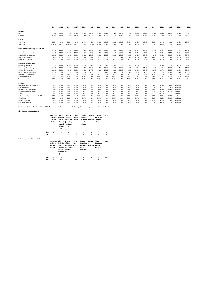| <b>Comparisons</b>                        |        |        |                            |        |        |        |       |       |       |       |       |       |       |       |        |        |           |               |
|-------------------------------------------|--------|--------|----------------------------|--------|--------|--------|-------|-------|-------|-------|-------|-------|-------|-------|--------|--------|-----------|---------------|
|                                           | 2004   | 2005   | <b>Interviewed</b><br>2006 | 2007   | 2008   | 2009   | 2010  | 2011  | 2012  | 2013  | 2014  | 2015  | 2016  | 2017  | 2018   | 2019   | 2020      | $202^{\circ}$ |
| Gender                                    |        |        |                            |        |        |        |       |       |       |       |       |       |       |       |        |        |           |               |
| Men                                       | 61.0%  | 52.5%  | 52.8%                      | 51.8%  | 58.3%  | 59.3%  | 56.8% | 57.6% | 53.9% | 57.2% | 46.8% | 49.4% | 49.4% | 44.0% | 46.3%  | 37.3%  | 41.3%     | 44.8%         |
| Women                                     | 39.0%  | 47.5%  | 47.2%                      | 48.2%  | 41.7%  | 40.7%  | 43.2% | 42.4% | 46.1% | 42.8% | 53.2% | 50.6% | 50.6% | 56.0% | 53.7%  | 62.7%  | 58.7%     | 55.2%         |
| <b>Path Selected</b>                      |        |        |                            |        |        |        |       |       |       |       |       |       |       |       |        |        |           |               |
| One Year                                  | 0.0%   | 0.0%   | 0.0%                       | 0.0%   | 0.0%   | 0.0%   | 15.0% | 15.0% | 10.0% | 10.0% | 5.1%  | 15.0% | 10.1% | 5.0%  | 9.8%   | 3.8%   | 11.3%     | 13.5%         |
| Two Year                                  | 100.0% | 100.0% | 100.0%                     | 100.0% | 100.0% | 100.0% | 85.0% | 85.0% | 90.0% | 90.0% | 94.9% | 85.0% | 89.9% | 95.0% | 90.2%  | 96.2%  | 88.7%     | 86.5%         |
| <b>Universities Presenting Candidates</b> |        |        |                            |        |        |        |       |       |       |       |       |       |       |       |        |        |           |               |
| Ivy League                                | 18.2%  | 16.9%  | 14.9%                      | 22.6%  | 17.3%  | 19.1%  | 20.4% | 22.8% | 21.4% | 22.0% | 21.2% | 22.0% | 19.6% | 22.6% | 22.0%  | 15.2%  | 15.6%     | 18.4%         |
| <b>Other Private Universities</b>         | 41.5%  | 47.5%  | 42.9%                      | 43.9%  | 40.5%  | 45.1%  | 40.7% | 44.9% | 46.1% | 40.3% | 39.7% | 40.2% | 44.9% | 41.5% | 46.3%  | 44.9%  | 45.6%     | 38.7%         |
| State/Public Universities                 | 32.1%  | 26.3%  | 34.2%                      | 26.8%  | 29.8%  | 25.9%  | 33.3% | 22.2% | 26.0% | 28.3% | 27.6% | 29.3% | 30.4% | 31.4% | 30.5%  | 32.9%  | 30.0%     | 38.7%         |
| Service Academies                         | 8.2%   | 8.1%   | 8.1%                       | 6.7%   | 12.5%  | 9.3%   | 5.6%  | 10.1% | 6.5%  | 9.4%  | 11.5% | 8.5%  | 5.1%  | 4.4%  | 1.2%   | 7.0%   | 8.8%      | 4.3%          |
| <b>Employer Endorsed</b>                  | 0.0%   | 1.3%   | 0.0%                       | 0.0%   | 0.0%   | 0.6%   | 0.0%  | 0.0%  | 0.0%  | 0.0%  | 0.0%  | 0.0%  | 0.0%  | 0.0%  | 0.0%   | 0.0%   | 0.0%      | 0.0%          |
| <b>Preferred UK University</b>            |        |        |                            |        |        |        |       |       |       |       |       |       |       |       |        |        |           |               |
| University of Oxford                      | 34.6%  | 49.4%  | 39.1%                      | 41.5%  | 34.5%  | 38.9%  | 31.5% | 38.0% | 38.3% | 30.2% | 37.2% | 32.9% | 29.7% | 27.7% | 31.1%  | 25.3%  | 25.0%     | 28.8%         |
| University of Cambridge                   | 20.8%  | 16.3%  | 16.1%                      | 18.3%  | 11.9%  | 15.4%  | 14.8% | 14.6% | 13.6% | 15.1% | 10.3% | 17.7% | 11.4% | 11.3% | 16.5%  | 17.7%  | 14.4%     | 11.7%         |
| Universities in London                    | 22.6%  | 20.0%  | 27.3%                      | 25.0%  | 30.4%  | 24.7%  | 38.3% | 27.2% | 31.8% | 39.6% | 34.6% | 24.4% | 35.4% | 33.3% | 31.7%  | 28.5%  | 28.8%     | 29.5%         |
| Other English Universities                | 15.7%  | 9.4%   | 11.2%                      | 7.3%   | 16.7%  | 14.2%  | 9.9%  | 14.6% | 10.4% | 8.2%  | 12.8% | 14.6% | 17.7% | 17.0% | 11.0%  | 15.8%  | 19.4%     | 15.3%         |
| Nothern Irish Universities                | 2.5%   | 1.3%   | 1.2%                       | 1.2%   | 1.8%   | 1.9%   | 0.0%  | 0.6%  | 0.6%  | 1.3%  | 0.0%  | 1.8%  | 0.6%  | 1.9%  | 1.2%   | 0.6%   | 1.3%      | 1.2%          |
| <b>Scottish Universities</b>              | 3.1%   | 3.8%   | 3.7%                       | 4.9%   | 4.2%   | 3.7%   | 4.9%  | 5.1%  | 4.5%  | 5.7%  | 3.8%  | 7.9%  | 3.8%  | 8.8%  | 7.9%   | 10.1%  | 10.0%     | 11.6%         |
| <b>Welsh Universities</b>                 | 0.6%   | 0.0%   | 1.2%                       | 1.8%   | 0.6%   | 1.2%   | 0.6%  | 0.0%  | 0.6%  | 0.0%  | 1.3%  | 0.6%  | 1.3%  | 0.0%  | 0.6%   | 1.9%   | 1.3%      | 1.8%          |
| Ethnicity*                                |        |        |                            |        |        |        |       |       |       |       |       |       |       |       |        |        |           |               |
| American Indian or Alaska Native          | 0.0%   | 0.0%   | 0.0%                       | 0.0%   | 0.0%   | 0.0%   | 0.0%  | 0.0%  | 0.0%  | 0.0%  | 0.0%  | 0.0%  | 0.0%  | 0.0%  | 0.61%  | 0.00%  | See below |               |
| Asian American                            | 0.0%   | 0.0%   | 0.0%                       | 0.0%   | 0.0%   | 0.0%   | 0.0%  | 0.0%  | 0.0%  | 0.0%  | 0.0%  | 0.0%  | 0.0%  | 13.8% | 20.12% | 17.09% | See below |               |
| <b>Black or African American</b>          | 0.0%   | 0.0%   | 0.0%                       | 0.0%   | 0.0%   | 0.0%   | 0.0%  | 0.0%  | 0.0%  | 0.0%  | 0.0%  | 0.0%  | 0.0%  | 4.4%  | 6.71%  | 6.96%  | See below |               |
| Hispanic/Latino American                  | 0.0%   | 0.0%   | 0.0%                       | 0.0%   | 0.0%   | 0.0%   | 0.0%  | 0.0%  | 0.0%  | 0.0%  | 0.0%  | 0.0%  | 0.0%  | 5.7%  | 3.05%  | 4.43%  | See below |               |
| White                                     | 0.0%   | 0.0%   | 0.0%                       | 0.0%   | 0.0%   | 0.0%   | 0.0%  | 0.0%  | 0.0%  | 0.0%  | 0.0%  | 0.0%  | 0.0%  | 68.6% | 60.37% | 64.56% | See below |               |
| Native Hawaiian or Other Pacific Islander | 0.0%   | 0.0%   | 0.0%                       | 0.0%   | 0.0%   | 0.0%   | 0.0%  | 0.0%  | 0.0%  | 0.0%  | 0.0%  | 0.0%  | 0.0%  | 0.0%  | 0.00%  | 0.00%  | See below |               |
| <b>Mixed Race</b>                         | 0.0%   | 0.0%   | 0.0%                       | 0.0%   | 0.0%   | 0.0%   | 0.0%  | 0.0%  | 0.0%  | 0.0%  | 0.0%  | 0.0%  | 0.0%  | 5.0%  | 6.10%  | 3.80%  | See below |               |
| <b>Decline Response</b>                   | 0.0%   | 0.0%   | 0.0%                       | 0.0%   | 0.0%   | 0.0%   | 0.0%  | 0.0%  | 0.0%  | 0.0%  | 0.0%  | 0.0%  | 0.0%  | 2.5%  | 3.05%  | 3.16%  | See below |               |
| Overall percentage                        | 0.0%   | 0.0%   | 0.0%                       | 0.0%   | 0.0%   | 0.0%   | 0.0%  | 0.0%  | 0.0%  | 0.0%  | 0.0%  | 0.0%  | 0.0%  | 29.0% | 36.0%  | 32.0%  | See below |               |

\* reliable statistics only collected from 2017. New Format for data collected for 2020 competition summary data available later in this document.

**Identified as Hispanic/Latinx**

|                                     |      | American<br>Alaska<br><b>Native</b>                    | Asian<br>Indian or (including African<br>Indian<br>ent and<br>Phillippin<br>es) | <b>Black or</b><br>American<br>Subcontin (including<br>Caribbea<br>n) | Two or<br>more<br>races | Native<br>Hawaiian<br>or Other<br>Pacific<br>Islander           | <b>Decline</b><br>to<br>Respond | White<br>(including<br>Middle<br>Eastern) | <b>Total</b> |
|-------------------------------------|------|--------------------------------------------------------|---------------------------------------------------------------------------------|-----------------------------------------------------------------------|-------------------------|-----------------------------------------------------------------|---------------------------------|-------------------------------------------|--------------|
|                                     | 2020 | $\mathbf 0$                                            | $\overline{2}$                                                                  | 0                                                                     | 2                       | $\mathbf 0$                                                     | 3                               | 4                                         | 11           |
|                                     | 2021 | $\mathbf{1}$                                           | $\mathbf{1}$                                                                    | $\overline{7}$                                                        | $\mathbf 0$             | $\mathbf 0$                                                     | 3                               | 6                                         | 18           |
| Did not Identify as Hispanic/Latinx |      |                                                        |                                                                                 |                                                                       |                         |                                                                 |                                 |                                           |              |
|                                     |      | American Asian<br>Indian or<br>Alaska<br><b>Native</b> | (including African<br>Indian<br>ent and<br>Phillippin n)<br>es)                 | <b>Black or</b><br>American races<br>Subcontin (including<br>Caribbea | Two or<br>more          | <b>Native</b><br>Hawaiian to<br>or Other<br>Pacific<br>Islander | <b>Decline</b><br>Respond       | White<br>(including<br>Middle<br>Eastern) | <b>Total</b> |

**2020** 0 28 15 6 0 4 96 149 **2021** 0 29 23 11 0 4 78 145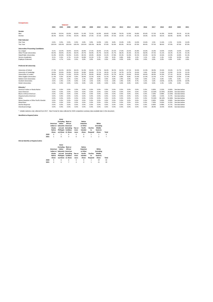| <b>Comparisons</b>                        |        |        | <b>Selected</b> |        |        |        |       |       |       |       |       |       |       |        |        |        |                |       |
|-------------------------------------------|--------|--------|-----------------|--------|--------|--------|-------|-------|-------|-------|-------|-------|-------|--------|--------|--------|----------------|-------|
|                                           | 2004   | 2005   | 2006            | 2007   | 2008   | 2009   | 2010  | 2011  | 2012  | 2013  | 2014  | 2015  | 2016  | 2017   | 2018   | 2019   | 2020           | 2021  |
|                                           |        |        |                 |        |        |        |       |       |       |       |       |       |       |        |        |        |                |       |
| Gender                                    |        |        |                 |        |        |        |       |       |       |       |       |       |       |        |        |        |                |       |
| Men                                       | 63.6%  | 53.5%  | 63.0%           | 56.8%  | 51.4%  | 72.5%  | 62.9% | 60.6% | 52.8% | 76.5% | 52.9% | 54.8% | 65.6% | 57.5%  | 41.9%  | 39.6%  | 39.1%          | 41.3% |
| Women                                     | 36.4%  | 46.5%  | 37.0%           | 43.2%  | 48.6%  | 27.5%  | 37.1% | 39.4% | 47.2% | 23.5% | 47.1% | 45.2% | 34.4% | 42.5%  | 58.1%  | 60.4%  | 60.9%          | 58.7% |
| <b>Path Selected</b>                      |        |        |                 |        |        |        |       |       |       |       |       |       |       |        |        |        |                |       |
| One Year                                  | 0.0%   | 0.0%   | 0.0%            | 0.0%   | 0.0%   | 0.0%   | 14.0% | 3.0%  | 8.0%  | 15.0% | 5.9%  | 13.0% | 15.6% | 2.5%   | 11.6%  | 2.1%   | 13.0%          | 13.0% |
| Two Year                                  | 100.0% | 100.0% | 100.0%          | 100.0% | 100.0% | 100.0% | 86.0% | 97.0% | 92.0% | 85.0% | 94.1% | 87.0% | 84.4% | 97.5%  | 88.4%  | 97.9%  | 87.0%          | 87.0% |
| <b>Universities Presenting Candidates</b> |        |        |                 |        |        |        |       |       |       |       |       |       |       |        |        |        |                |       |
| Ivy League                                | 9.1%   | 16.3%  | 18.6%           | 20.5%  | 18.9%  | 17.5%  | 20.0% | 27.3% | 22.2% | 17.6% | 23.5% | 25.8% | 25.0% | 15.0%  | 14.0%  | 14.6%  | 13.0%          | 13.0% |
| Other Private Universities                | 50.0%  | 48.8%  | 44.2%           | 36.4%  | 29.7%  | 50.0%  | 45.7% | 54.5% | 41.7% | 38.2% | 35.3% | 35.5% | 46.9% | 47.5%  | 51.2%  | 54.2%  | 41.3%          | 41.3% |
| State/Public Universities                 | 31.8%  | 20.9%  | 32.6%           | 31.8%  | 40.5%  | 20.0%  | 28.6% | 15.2% | 27.8% | 35.3% | 32.4% | 35.5% | 25.0% | 32.5%  | 32.6%  | 22.9%  | 34.8%          | 41.3% |
| Service Academies                         | 9.1%   | 9.3%   | 4.7%            | 11.4%  | 10.8%  | 12.5%  | 5.7%  | 3.0%  | 8.3%  | 8.8%  | 8.8%  | 3.2%  | 3.1%  | 5.0%   | 2.3%   | 8.3%   | 10.9%          | 4.4%  |
| <b>Employer Endorsed</b>                  | 0.0%   | 4.7%   | 0.0%            | 0.0%   | 0.0%   | 0.0%   | 0.0%  | 0.0%  | 0.0%  | 0.0%  | 0.0%  | 0.0%  | 0.0%  | 0.0%   | 0.0%   | 0.0%   | 0.0%           | 0.0%  |
|                                           |        |        |                 |        |        |        |       |       |       |       |       |       |       |        |        |        |                |       |
| <b>Preferred UK University</b>            |        |        |                 |        |        |        |       |       |       |       |       |       |       |        |        |        |                |       |
| University of Oxford                      | 27.3%  | 44.2%  | 46.5%           | 36.4%  | 32.4%  | 30.0%  | 25.7% | 36.4% | 36.1% | 26.5% | 47.1% | 19.4% | 21.9% | 30.0%  | 25.6%  | 25.0%  | 21.7%          | 23.9% |
| University of Cambridge                   | 13.6%  | 20.9%  | 20.9%           | 25.0%  | 10.8%  | 20.0%  | 17.1% | 18.2% | 11.1% | 14.7% | 14.7% | 19.4% | 9.4%  | 10.0%  | 11.6%  | 22.9%  | 15.2%          | 15.2% |
| Universities in London                    | 38.6%  | 23.3%  | 11.6%           | 25.0%  | 29.7%  | 30.0%  | 48.6% | 24.2% | 41.7% | 44.1% | 29.4% | 29.0% | 40.6% | 40.0%  | 41.9%  | 27.1%  | 26.1%          | 30.4% |
| Other English Universities                | 11.4%  | 9.3%   | 16.3%           | 6.8%   | 18.9%  | 12.5%  | 8.6%  | 12.1% | 8.3%  | 8.8%  | 8.8%  | 22.6% | 21.9% | 12.5%  | 4.7%   | 14.6%  | 23.9%          | 17.4% |
| Nothern Irish Universities                | 1.6%   | 0.0%   | 2.3%            | 0.0%   | 2.7%   | 0.0%   | 0.0%  | 0.0%  | 0.0%  | 2.9%  | 0.0%  | 0.0%  | 0.0%  | 2.5%   | 0.0%   | 0.0%   | 0.0%           | 2.1%  |
| <b>Scottish Universities</b>              | 4.5%   | 2.3%   | 2.3%            | 6.8%   | 5.4%   | 2.5%   | 0.0%  | 9.1%  | 2.8%  | 2.9%  | 0.0%  | 9.7%  | 6.3%  | 5.0%   | 14.0%  | 10.4%  | 13.0%          | 10.9% |
| <b>Welsh Universities</b>                 | 2.3%   | 0.0%   | 0.0%            | 0.0%   | 0.0%   | 5.0%   | 0.0%  | 0.0%  | 0.0%  | 0.0%  | 0.0%  | 0.0%  | 0.0%  | 0.0%   | 2.3%   | 0.0%   | 0.0%           | 0.0%  |
| Ethnicity <sup>*</sup>                    |        |        |                 |        |        |        |       |       |       |       |       |       |       |        |        |        |                |       |
| American Indian or Alaska Native          | 0.0%   | 0.0%   | 0.0%            | 0.0%   | 0.0%   | 0.0%   | 0.0%  | 0.0%  | 0.0%  | 0.0%  | 0.0%  | 0.0%  | 0.0%  | 0.00%  | 2.33%  | 0.00%  | See data below |       |
| Asian American                            | 0.0%   | 0.0%   | 0.0%            | 0.0%   | 0.0%   | 0.0%   | 0.0%  | 0.0%  | 0.0%  | 0.0%  | 0.0%  | 0.0%  | 0.0%  | 12.50% | 13.95% | 20.83% | See data below |       |
| <b>Black or African American</b>          | 0.0%   | 0.0%   | 0.0%            | 0.0%   | 0.0%   | 0.0%   | 0.0%  | 0.0%  | 0.0%  | 0.0%  | 0.0%  | 0.0%  | 0.0%  | 2.50%  | 6.98%  | 12.50% | See data below |       |
| Hispanic/Latino American                  | 0.0%   | 0.0%   | 0.0%            | 0.0%   | 0.0%   | 0.0%   | 0.0%  | 0.0%  | 0.0%  | 0.0%  | 0.0%  | 0.0%  | 0.0%  | 5.00%  | 2.33%  | 4.17%  | See data below |       |
| White                                     | 0.0%   | 0.0%   | 0.0%            | 0.0%   | 0.0%   | 0.0%   | 0.0%  | 0.0%  | 0.0%  | 0.0%  | 0.0%  | 0.0%  | 0.0%  | 72.50% | 58.14% | 52.08% | See data below |       |
| Native Hawaiian or Other Pacific Islander | 0.0%   | 0.0%   | 0.0%            | 0.0%   | 0.0%   | 0.0%   | 0.0%  | 0.0%  | 0.0%  | 0.0%  | 0.0%  | 0.0%  | 0.0%  | 0.00%  | 0.00%  | 0.00%  | See data below |       |
| <b>Mixed Race</b>                         | 0.0%   | 0.0%   | 0.0%            | 0.0%   | 0.0%   | 0.0%   | 0.0%  | 0.0%  | 0.0%  | 0.0%  | 0.0%  | 0.0%  | 0.0%  | 7.50%  | 9.30%  | 6.25%  | See data below |       |
| Decline Response                          | 0.0%   | 0.0%   | 0.0%            | 0.0%   | 0.0%   | 0.0%   | 0.0%  | 0.0%  | 0.0%  | 0.0%  | 0.0%  | 0.0%  | 0.0%  | 0.00%  | 6.98%  | 4.17%  | See data below |       |
| Overall percentage                        | 0.0%   | 0.0%   | 0.0%            | 0.0%   | 0.0%   | 0.0%   | 0.0%  | 0.0%  | 0.0%  | 0.0%  | 0.0%  | 0.0%  | 0.0%  | 28.0%  | 33.0%  | 44.0%  | See data below |       |

\* reliable statistics only collected from 2017. New Format for data collected for 2020 competition summary data available later in this document.

**Identified as Hispanic/Latinx**

|      | American<br>Alaska<br>Native<br>Alone | Asian<br><i>lincluding</i><br>Indian<br>Indian or Subcontin American | <b>Black or</b><br>African<br>ent and (including<br>Phillippin Caribbea<br>es) Alone n) Alone | Two or<br>more<br>races | <b>Native</b><br>Hawaiian<br>or Other<br>Pacific<br>Islander<br>Alone | Decline<br>to<br>Respond | White<br><i>lincluding</i><br>Middle<br>Eastern)<br>Alone | Tota |
|------|---------------------------------------|----------------------------------------------------------------------|-----------------------------------------------------------------------------------------------|-------------------------|-----------------------------------------------------------------------|--------------------------|-----------------------------------------------------------|------|
| 2020 | O                                     | 2                                                                    | 0                                                                                             | 0                       | 0                                                                     | 1                        | 1                                                         | 4    |
| 2021 | 1                                     | O                                                                    | з                                                                                             | O                       | O                                                                     | 1                        | 2                                                         |      |
|      |                                       |                                                                      |                                                                                               |                         |                                                                       |                          |                                                           |      |

# **Did not Identify as Hispanic/Latinx**

|      | American<br>Alaska<br>Native<br>Alone | Asian<br><i>(including</i><br>Indian<br>Indian or Subcontin American<br>Phillippin Caribbea<br>es) Alone n) Alone | <b>Black or</b><br>African<br>ent and (including | Two or<br>more<br>races | <b>Native</b><br>Hawaiian<br>or Other<br><b>Pacific</b><br>Islander<br>Alone | Decline<br>to<br>Respond | White<br>(including<br>Middle<br>Eastern)<br>Alone | <b>Total</b> |
|------|---------------------------------------|-------------------------------------------------------------------------------------------------------------------|--------------------------------------------------|-------------------------|------------------------------------------------------------------------------|--------------------------|----------------------------------------------------|--------------|
| 2020 | $\Omega$                              | 6                                                                                                                 | 6                                                | $\Omega$                | $\Omega$                                                                     | 1                        | 29                                                 | 42           |
| 2021 | $\Omega$                              | 6                                                                                                                 | 7                                                | 4                       | O                                                                            | 1                        | 21                                                 | 39           |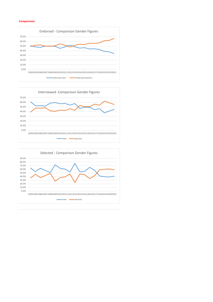### **Comparisons**





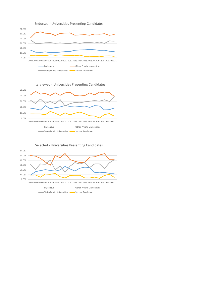



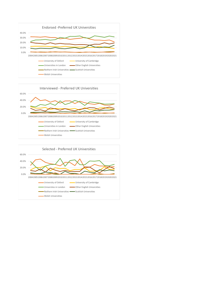



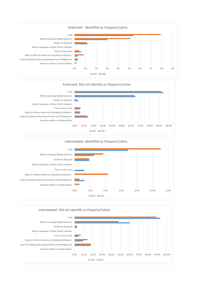





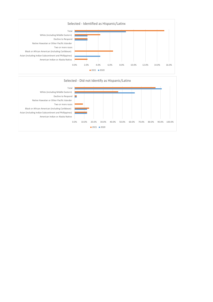

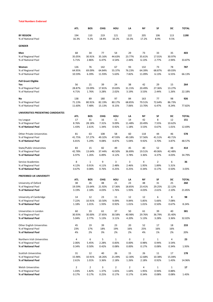#### **Total Numbers Endorsed**

|                                                   | ATL             | BOS             | <b>CHIG</b>     | HOU                   | LA              | NΥ                      | SF                    | DC              | <b>TOTAL</b> |
|---------------------------------------------------|-----------------|-----------------|-----------------|-----------------------|-----------------|-------------------------|-----------------------|-----------------|--------------|
| <b>BY REGION</b>                                  | 194             | 110             | 219             | 121                   | 122             | 205                     | 106                   | 113             | 1190         |
| % of National Pool                                | 16.3%           | 9.2%            | 18.4%           | 10.2%                 | 10.3%           | 17.2%                   | 8.9%                  | 9.5%            |              |
| <b>GENDER</b>                                     |                 |                 |                 |                       |                 |                         |                       |                 |              |
| Men                                               | 68              | 34              | 77              | 54                    | 29              | 73                      | 33                    | 35              | 403          |
| % of Regional Pool                                | 35.05%          | 30.91%          | 35.16%          | 44.63%                | 23.77%          | 35.61%                  | 17.01%                | 30.97%          |              |
| % of National Pool                                | 5.71%           | 2.86%           | 6.47%           | 4.54%                 | 2.44%           | 6.13%                   | 2.77%                 | 2.94%           | 33.87%       |
|                                                   |                 |                 |                 |                       |                 |                         |                       |                 |              |
| Women                                             | 126<br>64.95%   | 76<br>69.09%    | 142<br>64.84%   | 67                    | 93              | 132<br>64.39%           | 73<br>68.87%          | 78<br>69.03%    | 787          |
| % of Regional Pool<br>% of National Pool          | 10.59%          | 6.39%           | 11.93%          | 55.37%<br>5.63%       | 76.23%<br>7.82% | 11.09%                  | 6.13%                 | 6.55%           | 66.13%       |
|                                                   |                 |                 |                 |                       |                 |                         |                       |                 |              |
| <b>Pell Grant Eligible</b>                        |                 |                 |                 |                       |                 |                         |                       |                 |              |
| Yes                                               | 56              | 21              | 39              | 24                    | 38              | 42                      | 29                    | 15              | 264          |
| % of Regional Pool                                | 28.87%          | 19.09%          | 17.81%          | 19.83%                | 31.15%          | 20.49%                  | 27.36%                | 13.27%          |              |
| % of National Pool                                | 4.71%           | 1.76%           | 3.28%           | 2.02%                 | 3.19%           | 3.53%                   | 2.44%                 | 1.26%           | 22.18%       |
| No                                                | 138             | 89              | 180             | 97                    | 84              | 163                     | 77                    | 98              | 926          |
| % of Regional Pool                                | 71.13%          | 80.91%          | 82.19%          | 80.17%                | 68.85%          | 79.51%                  | 72.64%                | 86.73%          |              |
| % of National Pool                                | 11.60%          | 7.48%           | 15.13%          | 8.15%                 | 7.06%           | 13.70%                  | 6.47%                 | 8.24%           | 77.82%       |
|                                                   |                 |                 |                 |                       |                 |                         |                       |                 |              |
| UNIVERSITIES PRESENTING CANDIDATES                | <b>ATL</b>      | BOS             | <b>CHIG</b>     | HOU                   | LA              | NΥ                      | SF                    | DC              | <b>TOTAL</b> |
| <b>Ivy League</b>                                 | 17              | 31              | 16              | 11                    | 14              | 42                      | 8                     | 12              | 151          |
| % of Regional Pool                                | 8.76%           | 28.18%          | 7.31%           | 9.09%                 | 11.48%          | 20.49%                  | 7.55%                 | 10.62%          |              |
| % of National Pool                                | 1.43%           | 2.61%           | 1.34%           | 0.92%                 | 1.18%           | 3.53%                   | 0.67%                 | 1.01%           | 12.69%       |
|                                                   |                 |                 |                 |                       |                 |                         |                       |                 |              |
| <b>Other Private Universities</b>                 | 81              | 63              | 108             | 58                    | 60              | 118                     | 44                    | 46              | 578          |
| % of Regional Pool                                | 41.75%          | 57.27%          | 49.32%          | 47.93%                | 49.18%          | 57.56%                  | 41.51%                | 40.71%          |              |
| % of National Pool                                | 6.81%           | 5.29%           | 9.08%           | 4.87%                 | 5.04%           | 9.92%                   | 3.70%                 | 3.87%           | 48.57%       |
| State/Public Universities                         | 83              | 15              | 82              | 49                    | 45              | 40                      | 52                    | 48              | 414          |
| % of Regional Pool                                | 42.78%          | 13.64%          | 37.44%          | 40.50%                | 36.89%          | 19.51%                  | 49.06%                | 42.48%          |              |
| % of National Pool                                | 6.97%           | 1.26%           | 6.89%           | 4.12%                 | 3.78%           | 3.36%                   | 4.37%                 | 4.03%           | 34.79%       |
|                                                   |                 |                 |                 |                       |                 |                         |                       |                 |              |
| Service Academies                                 | 8               | $\mathbf{1}$    | 9               | 3                     | 3               | 4                       | $\overline{2}$        | 6               | 36           |
| % of Regional Pool<br>% of National Pool          | 4.12%<br>0.67%  | 0.91%<br>0.08%  | 4.11%<br>0.76%  | 2.48%<br>0.25%        | 2.46%<br>0.25%  | 1.95%<br>0.34%          | 1.89%<br>0.17%        | 5.31%<br>0.50%  | 3.03%        |
|                                                   |                 |                 |                 |                       |                 |                         |                       |                 |              |
| PREFERRED UK UNIVERSITY                           |                 |                 |                 |                       |                 |                         |                       |                 |              |
|                                                   | <b>ATL</b>      | <b>BOS</b>      | <b>CHIG</b>     | HOU                   | LA              | NΥ                      | SF                    | DC              | <b>TOTAL</b> |
| University of Oxford                              | 38              | 26              | 48              | 21                    | 23              | 48                      | 31                    | 25              | 260          |
| % of Regional Pool                                | 19.59%          | 23.64%          | 21.92%          | 17.36%                | 18.85%          | 23.41%                  | 29.25%                | 22.12%          |              |
| % of National Pool                                | 3.19%           | 2.18%           | 4.03%           | 1.76%                 | 1.93%           | 4.03%                   | 2.61%                 | 2.10%           | 21.85%       |
| University of Cambridge                           | 14              | 12              | 23              | 11                    | 12              | 12                      | 6                     | 8               | 98           |
| % of Regional Pool                                | 7.22%           | 10.91%          | 10.50%          | 9.09%                 | 9.84%           | 5.85%                   | 5.66%                 | 7.08%           |              |
| % of National Pool                                | 1.18%           | 1.01%           | 1.93%           | 0.92%                 | 1.01%           | 1.01%                   | 0.50%                 | 0.67%           | 8.24%        |
|                                                   |                 |                 |                 |                       |                 |                         |                       |                 |              |
| Universities in London                            | 60              | 33              | 61              | 37                    | 50              | 61                      | 39                    | 40              | 381          |
| % of Regional Pool<br>% of National Pool          | 30.93%<br>5.04% | 30.00%<br>2.77% | 27.85%<br>5.13% | 30.58%<br>3.11%       | 40.98%<br>4.20% | 29.76%<br>5.13%         | 36.79%<br>3.28%       | 35.40%<br>3.36% | 32.02%       |
|                                                   |                 |                 |                 |                       |                 |                         |                       |                 |              |
| Other English Universities                        | 45              | 19              | 39              | 23                    | 20              | 52                      | 17                    | 18              | 233          |
| % of Regional Pool                                | 23%             | 17%             | 18%             | 19%                   | 16%             | 25%                     | 16%                   | 16%             |              |
| % of National Pool                                | 4%              | 2%              | 3%              | 2%                    | 2%              | 4%                      | 1%                    | 2%              | 20%          |
|                                                   |                 |                 |                 |                       |                 |                         |                       |                 |              |
| Northern Irish Universities<br>% of Regional Pool | 4<br>2.06%      | 6<br>5.45%      | 5<br>2.28%      | $\mathbf{1}$<br>0.83% | 0<br>0.00%      | $\overline{2}$<br>0.98% | $\mathbf{1}$<br>0.94% | 4<br>3.54%      | 23           |
| % of National Pool                                | 0.34%           | 0.50%           | 0.42%           | 0.08%                 | 0.00%           | 0.17%                   | 0.08%                 | 0.34%           | 1.93%        |
|                                                   |                 |                 |                 |                       |                 |                         |                       |                 |              |
| Scottish Universities                             | 31              | 12              | 40              | 26                    | 15              | 26                      | 11                    | 17              | 178          |
| % of Regional Pool                                | 15.98%          | 10.91%          | 18.26%          | 21.49%                | 12.30%          | 12.68%                  | 10.38%                | 15.04%          |              |
| % of National Pool                                | 2.61%           | 1.01%           | 3.36%           | 2.18%                 | 1.26%           | 2.18%                   | 0.92%                 | 1.43%           | 14.96%       |
| <b>Welsh Universities</b>                         | $\overline{2}$  | $\overline{2}$  | 3               | $\overline{2}$        | $\overline{2}$  | 4                       | $\mathbf{1}$          | $\mathbf{1}$    | 17           |
| % of Regional Pool                                | 1.03%           | 1.82%           | 1.37%           | 1.65%                 | 1.64%           | 1.95%                   | 0.94%                 | 0.88%           |              |
| % of National Pool                                | 0.17%           | 0.17%           | 0.25%           | 0.17%                 | 0.17%           | 0.34%                   | 0.08%                 | 0.08%           | 1.43%        |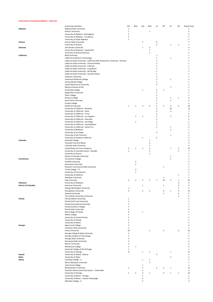#### **Universities Presenting Candidates - Endorsed**

|                             | <b>Endorsing Institution</b>                                                   | ATL                      | <b>BOS</b>     | CHI                      | HOU            | LA             | NY             | SF             | DC                      | <b>Grand Total</b>       |
|-----------------------------|--------------------------------------------------------------------------------|--------------------------|----------------|--------------------------|----------------|----------------|----------------|----------------|-------------------------|--------------------------|
| Alabama                     | Alabama State University                                                       | $\mathbf 1$              |                |                          |                |                |                |                |                         | $\mathbf 1$              |
|                             | Auburn University                                                              | $\,1\,$                  |                |                          | $\,1\,$        |                |                |                |                         | $\overline{2}$           |
|                             | University of Alabama - Birmingham                                             | 3                        |                |                          |                |                |                |                |                         | 3                        |
|                             | University of Alabama - Tuscaloosa                                             | $\mathbf 2$              |                |                          |                |                |                |                |                         | $\mathbf 2$              |
|                             |                                                                                |                          |                |                          |                |                |                |                |                         |                          |
|                             | University of South Alabama                                                    | $\mathbf 1$              |                |                          |                |                |                |                |                         | 1                        |
| Arizona                     | Arizona State University                                                       |                          |                | $\mathbf{1}$             |                | 6              |                |                |                         | $\overline{7}$           |
|                             | University of Arizona                                                          |                          |                |                          |                | 5              |                | $\,1\,$        | $\mathbf{1}$            | $\overline{7}$           |
| <b>Arkansas</b>             | John Brown University                                                          |                          |                | $\mathbf 1$              | 3              |                |                |                |                         | 4                        |
|                             | University of Arkansas - Fayetteville                                          |                          |                |                          | $\overline{7}$ |                |                |                |                         | $\overline{7}$           |
|                             |                                                                                |                          |                |                          | $\mathbf{1}$   |                |                |                |                         | 1                        |
|                             | University of Central Arkansas                                                 |                          |                |                          |                |                |                |                |                         |                          |
| California                  | <b>Biola University</b>                                                        |                          |                |                          |                | $1\,$          |                |                |                         | 1                        |
|                             | California Institute of Technology                                             |                          |                |                          |                | $1\,$          |                | $\mathbf 1$    |                         | 2                        |
|                             | California State University - California State Polytechnic University - Pomona |                          |                |                          |                | $\mathbf{1}$   |                |                |                         | 1                        |
|                             | California State University - Channel Islands                                  |                          |                |                          |                | 1              |                |                |                         | $\mathbf{1}$             |
|                             | California State University - Fullerton                                        |                          |                |                          |                | 1              |                |                |                         | 1                        |
|                             | California State University - Long Beach                                       |                          |                |                          |                | $\mathbf{1}$   |                |                |                         | 1                        |
|                             |                                                                                |                          |                |                          |                |                |                |                |                         |                          |
|                             | California State University - Northridge                                       |                          |                |                          |                | $1\,$          |                |                |                         | 1                        |
|                             | California State University - San Bernardino                                   |                          |                |                          |                | $1\,$          |                |                |                         | 1                        |
|                             | Chapman University                                                             |                          |                |                          |                | $1\,$          |                |                |                         | 1                        |
|                             | Claremont McKenna College                                                      |                          |                |                          |                | $\mathbf 2$    |                | $\mathbf{1}$   |                         | 3                        |
|                             | Harvey Mudd College                                                            |                          |                |                          |                | $\mathbf{1}$   |                |                |                         | 1                        |
|                             | Loyola Marymount University                                                    |                          |                |                          |                | 3              |                |                |                         | 3                        |
|                             |                                                                                |                          |                |                          |                |                |                | $\,1\,$        |                         | $\,1\,$                  |
|                             | Minerva Schools at KGI                                                         |                          |                |                          |                |                |                |                |                         |                          |
|                             | Occidental College                                                             |                          |                | $\mathbf 1$              |                | 3              | $\mathbf 1$    |                |                         | 5                        |
|                             | Pepperdine University                                                          |                          |                |                          |                | $1\,$          |                |                |                         | 1                        |
|                             | Pitzer College                                                                 |                          |                |                          |                | $\mathbf{1}$   |                |                |                         | 1                        |
|                             | Pomona College                                                                 |                          |                |                          |                | $\overline{2}$ |                | 1              | $\mathbf{1}$            | 4                        |
|                             | Santa Clara University                                                         |                          |                |                          |                | $1\,$          |                | $\mathbf 1$    |                         | $\overline{2}$           |
|                             | <b>Scripps College</b>                                                         |                          |                |                          |                | $\overline{2}$ |                |                |                         | 2                        |
|                             |                                                                                | $\mathbf 1$              | $\mathbf{1}$   | 3                        | 4              | 5              | $\overline{2}$ |                | $\overline{2}$          | 24                       |
|                             | <b>Stanford University</b>                                                     |                          |                |                          |                |                |                | 6              |                         |                          |
|                             | University of California - Berkeley                                            |                          |                |                          |                | $\mathbf 2$    |                | 10             |                         | 12                       |
|                             | University of California - Davis                                               |                          |                |                          |                | 3              |                | 4              |                         | $\overline{7}$           |
|                             | University of California - Irvine                                              |                          |                |                          |                | $\mathbf 2$    |                |                |                         | $\mathbf 2$              |
|                             | University of California - Los Angeles                                         |                          | $\mathbf{1}$   | $\mathbf{1}$             |                | 5              |                | $\overline{2}$ |                         | 9                        |
|                             | University of California - Riverside                                           |                          |                |                          |                | $\overline{2}$ |                |                |                         | $\overline{2}$           |
|                             |                                                                                |                          | $\mathbf{1}$   |                          |                | $1\,$          |                |                |                         | $\overline{2}$           |
|                             | University of California - San Diego                                           |                          |                |                          |                |                |                |                |                         |                          |
|                             | University of California - Santa Barbara                                       |                          |                |                          |                | $1\,$          |                |                |                         | $\,1\,$                  |
|                             | University of California - Santa Cruz                                          |                          |                |                          |                | $1\,$          |                | $\,1\,$        |                         | $\overline{2}$           |
|                             | University of Redlands                                                         |                          |                |                          |                |                |                | $1\,$          |                         | $\mathbf{1}$             |
|                             | University of San Diego                                                        |                          |                |                          |                | 3              |                |                |                         | 3                        |
|                             | University of San Francisco                                                    |                          |                |                          |                |                |                | 1              |                         | 1                        |
|                             | University of Southern California                                              |                          |                | $\mathbf 1$              |                | 4              |                |                |                         | 5                        |
|                             |                                                                                |                          |                |                          |                |                |                |                |                         |                          |
| Colorado                    | Colorado College                                                               |                          |                |                          | $\mathbf 1$    |                |                |                |                         | 1                        |
|                             | Colorado School of Mines                                                       |                          |                |                          | 3              |                |                |                |                         | 3                        |
|                             | Colorado State University                                                      |                          |                |                          | $\overline{2}$ |                |                |                |                         | $\overline{2}$           |
|                             | United States Air Force Academy                                                | 3                        | $\mathbf{1}$   | $\mathbf{1}$             | $\mathbf 2$    |                |                | $\mathbf{1}$   | $\overline{2}$          | 10                       |
|                             | University of Colorado System - Boulder                                        | $\,1\,$                  |                |                          | 5              |                |                |                | $\mathbf 1$             | $\overline{7}$           |
|                             | University of Denver                                                           |                          |                |                          | $\mathbf 1$    |                |                |                |                         | 1                        |
|                             |                                                                                |                          |                |                          |                |                |                |                |                         |                          |
|                             | Western Colorado University                                                    |                          |                |                          |                |                |                | 1              |                         | 1                        |
| Connecticut                 | <b>Connecticut College</b>                                                     |                          |                |                          |                |                |                | 1              |                         | 1                        |
|                             | Fairfield University                                                           |                          | $\overline{2}$ |                          |                |                |                |                |                         | $\overline{2}$           |
|                             | Quinnipiac University                                                          |                          | $\overline{2}$ |                          |                |                |                |                |                         | $\overline{2}$           |
|                             | Southern Connecticut State University                                          |                          |                |                          |                |                | $\mathbf 1$    |                |                         | 1                        |
|                             | Trinity College - CT                                                           |                          | $\overline{2}$ |                          |                |                |                |                |                         | $\overline{2}$           |
|                             | University of Connecticut                                                      |                          | $\overline{2}$ |                          |                |                |                |                |                         | $\overline{2}$           |
|                             |                                                                                |                          |                |                          |                |                |                |                |                         |                          |
|                             | University of Hartford                                                         |                          |                |                          |                |                |                |                | $\mathbf{1}$            | $\mathbf{1}$             |
|                             | Wesleyan University                                                            |                          |                |                          |                |                | 1              |                |                         | 1                        |
|                             | <b>Yale University</b>                                                         | $\overline{2}$           | $\overline{2}$ | 4                        | $\overline{2}$ | $1\,$          | 10             | $\overline{2}$ | $\mathbf 1$             | 24                       |
| Delaware                    | University of Delaware                                                         |                          |                |                          |                |                |                |                | 3                       | 3                        |
| <b>District of Columbia</b> | American University                                                            |                          |                | 1                        |                |                | 1              |                | 3                       | 5                        |
|                             | George Washington University                                                   | $\mathbf 1$              |                |                          |                |                |                |                | $\mathbf 1$             | $\overline{2}$           |
|                             |                                                                                |                          |                |                          |                |                |                |                |                         |                          |
|                             | Georgetown University                                                          | 3                        |                | $\overline{2}$           | $\overline{2}$ |                | 3              | 1              | $\overline{a}$          | 15                       |
|                             | <b>Howard University</b>                                                       |                          |                |                          |                |                | $\mathbf 1$    |                | $\overline{4}$          | 5                        |
|                             | The Catholic University of America                                             |                          |                |                          |                |                |                |                | $\overline{2}$          | $\overline{2}$           |
| Florida                     | Florida Atlantic University                                                    | $\mathbf 1$              |                |                          |                |                |                |                |                         | $\,1\,$                  |
|                             | Florida Gulf Coast University                                                  | $\mathbf 1$              |                |                          |                |                |                |                |                         | $\mathbf 1$              |
|                             | Florida International University                                               | $\mathbf 1$              |                |                          |                |                |                |                |                         | $\,1\,$                  |
|                             |                                                                                |                          |                |                          |                |                |                |                |                         |                          |
|                             | Florida Southern College                                                       | $\mathbf 1$              |                |                          |                |                |                |                |                         | $\,1\,$                  |
|                             | Florida State University                                                       | 4                        |                |                          |                |                |                |                |                         | 4                        |
|                             | New College of Florida                                                         | 6                        |                | $\mathbf{1}$             |                |                |                |                |                         | $\overline{7}$           |
|                             | <b>Rollins College</b>                                                         | $\mathbf 1$              |                |                          |                |                |                |                |                         | $\,1\,$                  |
|                             | University of Central Florida                                                  | $\overline{\mathbf{2}}$  |                |                          |                |                |                |                |                         | $\overline{2}$           |
|                             | University of Florida                                                          | $\overline{2}$           |                |                          |                |                |                |                |                         | $\overline{2}$           |
|                             |                                                                                |                          |                |                          |                |                |                |                |                         |                          |
|                             | University of Miami                                                            | $\mathbf 1$              |                |                          |                |                |                |                |                         | 1                        |
| Georgia                     | Agnes Scott College                                                            | $\mathbf 2$              |                |                          |                |                |                |                |                         | $\overline{2}$           |
|                             | Columbus State University                                                      | $\mathbf 1$              |                |                          |                |                |                |                |                         | 1                        |
|                             | <b>Emory University</b>                                                        | 10                       |                |                          | $\mathbf 1$    |                | $\overline{2}$ |                | $\overline{\mathbf{3}}$ | 16                       |
|                             | Georgia College & State University                                             | $\mathbf 2$              |                |                          |                |                |                |                |                         | $\overline{2}$           |
|                             | Georgia Institute of Technology                                                | $\overline{\phantom{a}}$ |                |                          |                |                |                |                |                         | $\overline{\phantom{a}}$ |
|                             | Georgia State University                                                       | 3                        |                |                          |                |                |                |                |                         | 3                        |
|                             |                                                                                |                          |                |                          |                |                |                |                |                         |                          |
|                             | Kennesaw State University                                                      | 3                        |                |                          |                |                |                |                |                         | 3                        |
|                             | Mercer University                                                              | $\mathbf 2$              |                |                          |                |                |                |                |                         | $\overline{2}$           |
|                             | Morehouse College                                                              | $\,1\,$                  | $\mathbf{1}$   |                          |                |                |                |                |                         | $\overline{2}$           |
|                             | Savannah College of Art & Design                                               | $\,1\,$                  |                |                          |                |                |                |                |                         | $\mathbf{1}$             |
|                             | University of Georgia                                                          | 8                        |                | $\mathbf{1}$             | $\mathbf 1$    |                |                | $1\,$          |                         | 11                       |
| Hawaii                      |                                                                                |                          |                |                          |                | 3              |                |                |                         | 3                        |
|                             | University of Hawaii - Manoa                                                   |                          |                |                          |                |                |                |                |                         |                          |
| Idaho                       | University of Idaho                                                            |                          |                |                          |                |                |                | $\overline{2}$ |                         | $\overline{2}$           |
| Illinois                    | Columbia College - IL                                                          |                          |                | $\mathbf{1}$             | $\mathbf 1$    |                |                |                |                         | $\overline{2}$           |
|                             | Illinois Wesleyan University                                                   |                          |                |                          | $\mathbf{1}$   |                |                |                |                         | 1                        |
|                             | Lake Forest College                                                            |                          |                | $\mathbf{1}$             |                |                |                |                |                         | $\mathbf{1}$             |
|                             | Northwestern University                                                        | $\mathbf 1$              |                | $\overline{\phantom{a}}$ |                | $\overline{2}$ | 2              | $\mathbf{1}$   |                         | 13                       |
|                             | Southern Illinois University System - Carbondale                               |                          |                | $\overline{2}$           |                |                |                |                |                         | $\overline{2}$           |
|                             |                                                                                |                          |                |                          |                |                |                |                |                         |                          |
|                             | University of Chicago                                                          | $\mathbf 1$              | $\overline{2}$ | 5                        | $\mathbf 1$    |                | $\overline{2}$ | 1              | $\mathbf{1}$            | 13                       |
|                             | University of Illinois - Chicago                                               |                          |                | $\,$ 1                   |                |                |                |                |                         | $\,1\,$                  |
|                             | University of Illinois - Urbana-Champaign                                      |                          |                | 5                        |                |                |                |                |                         | 5                        |
|                             | Wheaton College - IL                                                           |                          |                | $\overline{2}$           |                |                |                |                |                         | $\overline{2}$           |
|                             |                                                                                |                          |                |                          |                |                |                |                |                         |                          |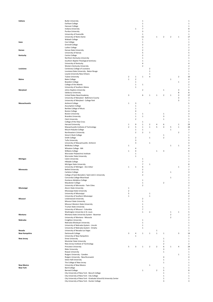| Indiana              | <b>Butler University</b><br>Earlham College                                                                     |                |                         | 1<br>$\mathbf{1}$ |                |                |                             |                         |                         | -1<br>$\mathbf{1}$      |
|----------------------|-----------------------------------------------------------------------------------------------------------------|----------------|-------------------------|-------------------|----------------|----------------|-----------------------------|-------------------------|-------------------------|-------------------------|
|                      |                                                                                                                 |                |                         |                   |                |                |                             |                         |                         |                         |
|                      | Hanover College                                                                                                 |                |                         | 1                 |                |                |                             |                         |                         | $\mathbf{1}$            |
|                      | Indiana University                                                                                              |                | $\mathbf 1$             | $\overline{7}$    |                |                |                             |                         |                         | 8                       |
|                      | Purdue University                                                                                               |                |                         | 3                 |                |                |                             |                         |                         | 3                       |
|                      | University of Evansville                                                                                        |                |                         | 1                 |                |                |                             |                         |                         | $\mathbf 1$             |
|                      | University of Notre Dame                                                                                        |                |                         | 11                |                | $\mathbf{1}$   | $\overline{\mathbf{2}}$     | $\overline{\mathbf{2}}$ | 1                       | 17                      |
|                      | Wabash College                                                                                                  |                |                         | $\mathbf{1}$      |                |                |                             |                         |                         | $\mathbf 1$             |
| lowa                 | Coe College                                                                                                     |                |                         | 1                 |                |                |                             |                         |                         | $\mathbf{1}$            |
|                      | <b>Grinnell College</b>                                                                                         |                |                         | $\overline{2}$    |                |                |                             |                         |                         | $\overline{2}$          |
|                      | Luther College                                                                                                  |                |                         | 1                 |                |                |                             |                         |                         | $\mathbf 1$             |
| Kansas               | Kansas State University                                                                                         |                |                         | $\overline{2}$    |                |                |                             |                         |                         | $\overline{2}$          |
|                      | University of Kansas                                                                                            |                |                         | 5                 |                |                |                             |                         |                         | 5                       |
| Kentucky             | Centre College                                                                                                  |                |                         | $\overline{2}$    |                |                |                             |                         |                         | $\overline{2}$          |
|                      | Northern Kentucky University                                                                                    |                |                         | $\mathbf{1}$      |                |                |                             |                         |                         | $\mathbf{1}$            |
|                      | Southern Baptist Theological Seminary                                                                           |                |                         | $1\,$             |                |                |                             |                         |                         | $\mathbf{1}$            |
|                      | University of Kentucky                                                                                          |                |                         | 4                 |                |                |                             |                         |                         |                         |
|                      | Western Kentucky University                                                                                     |                |                         | $\overline{2}$    |                |                |                             |                         |                         | $\overline{2}$          |
| Louisiana            | Centenary College of Louisiana                                                                                  |                |                         |                   | $\overline{2}$ |                |                             |                         |                         | $\overline{2}$          |
|                      | Louisiana State University - Baton Rouge                                                                        |                |                         |                   | 1              |                |                             |                         |                         | $\mathbf{1}$            |
|                      | Loyola University New Orleans                                                                                   |                |                         |                   | 1              |                |                             |                         |                         | $\mathbf{1}$            |
|                      | <b>Tulane University</b>                                                                                        | $\overline{2}$ | $\mathbf 1$             | 1                 | 4              |                |                             |                         | $\overline{2}$          | 10                      |
| Maine                | <b>Bates College</b>                                                                                            | $\mathbf{1}$   | $\overline{\mathbf{2}}$ |                   |                |                |                             | $\mathbf 1$             |                         | 4                       |
|                      | <b>Bowdoin College</b>                                                                                          |                | 1                       |                   |                |                |                             |                         | $\mathbf 1$             | $\overline{\mathbf{c}}$ |
|                      | College of the Atlantic                                                                                         |                | 1                       | $\mathbf{1}$      |                |                |                             |                         |                         | $\overline{2}$          |
|                      | University of Southern Maine                                                                                    |                | $\mathbf 1$             |                   |                |                |                             |                         |                         | $\mathbf{1}$            |
| Maryland             | Johns Hopkins University                                                                                        |                |                         | $\sqrt{2}$        |                |                | $\,1\,$                     |                         | 3                       | 6                       |
|                      | Salisbury University                                                                                            |                |                         |                   |                |                |                             |                         | 8                       | 8                       |
|                      | United States Naval Academy                                                                                     | 3              |                         | 6                 | $\mathbf{1}$   | $\mathbf{1}$   | $\overline{2}$              | $\,1$                   | 3                       | 17                      |
|                      | University of Maryland - Baltimore County                                                                       |                |                         |                   |                |                |                             |                         | 3                       | 3                       |
|                      | University of Maryland - College Park                                                                           |                |                         |                   |                |                |                             |                         | 3                       | 3                       |
| <b>Massachusetts</b> |                                                                                                                 | $\mathbf 1$    | 3                       |                   | $\mathbf{1}$   |                |                             |                         |                         | 5                       |
|                      | Amherst College                                                                                                 |                | $\mathbf{1}$            |                   |                |                |                             |                         |                         | $\mathbf 1$             |
|                      | <b>Assumption College</b>                                                                                       |                |                         |                   |                |                |                             |                         |                         | $\mathbf{1}$            |
|                      | Berklee College of Music                                                                                        |                | $\mathbf 1$             |                   |                |                |                             |                         |                         |                         |
|                      | <b>Boston College</b>                                                                                           |                | 4                       |                   |                |                |                             |                         |                         | 4                       |
|                      | <b>Boston University</b>                                                                                        |                | 1                       | $\mathbf{1}$      |                |                | $\,1\,$                     |                         |                         | 3                       |
|                      | <b>Brandeis University</b>                                                                                      |                | 1                       | $\,1\,$           |                |                | 3                           |                         |                         | 5                       |
|                      | Clark University                                                                                                |                | $\overline{2}$          |                   |                |                | $\mathbf 1$                 |                         |                         | 3                       |
|                      | College of the Holy Cross                                                                                       |                |                         | $\mathbf{1}$      |                |                |                             |                         |                         | $\mathbf{1}$            |
|                      | Harvard University                                                                                              | 1              | 9                       | $\,1\,$           | $\mathbf 2$    | 4              | 6                           |                         | 1                       | 24                      |
|                      | Massachusetts Institute of Technology                                                                           | $\overline{2}$ | 5                       | $1\,$             | $\mathbf 1$    | 5              | 4                           | 5                       | $\mathbf 1$             | 24                      |
|                      | Mount Holyoke College                                                                                           |                | $\,1$                   | $\mathbf{1}$      |                |                |                             | $\,1\,$                 |                         | 3                       |
|                      | Northeastern University                                                                                         |                | $\overline{2}$          | $\overline{2}$    | $\mathbf 1$    |                |                             |                         | $\overline{\mathbf{2}}$ | $\overline{7}$          |
|                      | Simon's Rock College                                                                                            |                |                         |                   |                |                | $\,1\,$                     |                         |                         | $\mathbf{1}$            |
|                      | Smith College                                                                                                   |                | $\overline{2}$          |                   | $\mathbf 1$    |                | $\overline{2}$              |                         |                         | 5                       |
|                      | <b>Tufts University</b>                                                                                         |                | 3                       |                   |                |                |                             |                         |                         | 3                       |
|                      | University of Massachusetts- Amherst                                                                            |                | 3                       |                   | $\mathbf 1$    |                |                             |                         |                         | 4                       |
|                      | <b>Wellesley College</b>                                                                                        | 1              |                         |                   |                |                |                             | $\mathbf 1$             | $\mathbf 1$             | 3                       |
|                      | Wheaton College - MA                                                                                            |                | 4                       |                   |                |                |                             |                         |                         | 4                       |
|                      | Williams College                                                                                                | $\,1\,$        | 4                       |                   |                | $\mathbf{1}$   | 3                           |                         |                         | 9                       |
|                      | Worcester Polytechnic Institute                                                                                 |                | 1                       |                   |                |                |                             |                         |                         | $\mathbf{1}$            |
|                      | <b>Worcester State University</b>                                                                               |                | $\mathbf 1$             |                   |                |                |                             |                         |                         | $\mathbf{1}$            |
| Michigan             | Calvin University                                                                                               |                |                         | 1                 |                |                |                             |                         |                         |                         |
|                      | Hillsdale College                                                                                               |                |                         | $\overline{7}$    |                |                |                             |                         |                         | 7                       |
|                      | Michigan State University                                                                                       |                |                         | $\overline{7}$    | $\mathbf 1$    |                |                             |                         |                         | 8                       |
|                      | University of Michigan - Ann Arbor                                                                              | 1              | $\mathbf 1$             | $\overline{4}$    |                |                |                             |                         | $\mathbf 1$             | $\overline{7}$          |
| Minnesota            | <b>Bethel University</b>                                                                                        |                |                         | $\mathbf 2$       |                |                |                             |                         |                         | $\overline{2}$          |
|                      | Carleton College                                                                                                |                |                         | $\overline{2}$    |                |                |                             | $\,1$                   |                         | 3                       |
|                      | College of Saint Benedict / Saint John's University                                                             |                |                         | $\overline{2}$    |                |                |                             |                         |                         | $\overline{2}$          |
|                      | Concordia College-Moorhead                                                                                      |                |                         |                   |                |                |                             | $\,1$                   |                         | $\mathbf{1}$            |
|                      | <b>Gustavus Adolphus College</b>                                                                                |                |                         | 1                 |                |                |                             |                         |                         |                         |
|                      | Macalester College                                                                                              |                |                         | 1                 |                |                | $\overline{2}$              |                         |                         | 3                       |
|                      | University of Minnesota - Twin Cities                                                                           |                |                         | $\overline{2}$    |                |                |                             |                         |                         | $\overline{2}$          |
| Mississippi          | <b>Alcorn State University</b>                                                                                  | $\mathbf 1$    |                         |                   |                |                |                             |                         |                         |                         |
|                      | Mississippi State University                                                                                    | $\overline{2}$ |                         |                   |                |                |                             |                         |                         | $\overline{2}$          |
|                      | University of Mississippi                                                                                       | 5              |                         |                   | $\mathbf 1$    |                |                             |                         |                         | 6                       |
|                      | University of Southern Mississippi                                                                              | $\mathbf{1}$   |                         |                   | $\mathbf 1$    |                |                             |                         |                         | $\overline{\mathbf{c}}$ |
| Missouri             | Lindenwood University                                                                                           |                |                         | $\overline{2}$    |                |                |                             |                         |                         | $\overline{\mathbf{c}}$ |
|                      | Missouri State University                                                                                       |                |                         | $1\,$             |                |                |                             |                         |                         | $\mathbf 1$             |
|                      | Missouri Western State University                                                                               |                |                         | 1                 |                |                |                             |                         |                         | $\mathbf{1}$            |
|                      |                                                                                                                 |                |                         | $1\,$             |                |                |                             |                         |                         | $\mathbf{1}$            |
|                      | Truman State University                                                                                         |                |                         | $\overline{7}$    |                |                |                             |                         |                         | $\overline{7}$          |
|                      | University of Missouri - Columbia                                                                               |                |                         | $\mathbf{1}$      | $\overline{2}$ |                |                             |                         | $\mathbf{1}$            | 5                       |
|                      | Washington University in St. Louis                                                                              |                |                         |                   |                |                |                             | $\,1$                   |                         |                         |
| Montana              | Montana State University System - Bozeman                                                                       |                |                         |                   |                |                |                             | $\mathbf 2$             |                         | $\overline{2}$          |
|                      | University of Montana - Missoula                                                                                |                |                         |                   |                |                |                             | $\overline{2}$          |                         | $\overline{2}$          |
| Nebraska             | Creighton University                                                                                            |                |                         | $\mathbf{1}$      |                |                |                             |                         |                         | $\mathbf{1}$            |
|                      | Nebraska Wesleyan University                                                                                    |                |                         | 1                 |                |                |                             |                         |                         | $\mathbf{1}$            |
|                      | University of Nebraska System - Lincoln                                                                         |                |                         | 1                 |                |                |                             |                         |                         | $\mathbf{1}$            |
|                      | University of Nebraska System - Omaha                                                                           |                |                         | 1                 |                |                |                             |                         |                         | $\mathbf{1}$            |
| Nevada               | University of Nevada-Las Vegas                                                                                  |                |                         |                   |                | 1              |                             |                         |                         | 1                       |
| <b>New Hampshire</b> | Dartmouth College                                                                                               | 3              | 4                       | $\mathbf 1$       | $\mathbf 1$    | $\mathbf{1}$   | $\mathbf 1$                 |                         | 3                       | 14                      |
|                      | University of New Hampshire                                                                                     |                | $\mathbf 1$             |                   |                |                |                             |                         |                         | $\mathbf{1}$            |
| <b>New Jersey</b>    | Drew University                                                                                                 |                |                         |                   |                |                | $\mathbf 1$                 |                         |                         | $\mathbf 1$             |
|                      | Montclair State University                                                                                      |                |                         |                   |                |                | $\,1\,$                     |                         |                         | 1                       |
|                      | New Jersey Institute of Technology                                                                              |                |                         |                   |                |                | $\mathbf 2$                 |                         |                         | $\overline{2}$          |
|                      | Princeton University                                                                                            | 5              | 3                       | 1                 | $\overline{2}$ | $\mathbf 2$    | 6                           | $1\,$                   | 4                       | 24                      |
|                      | <b>Rider University</b>                                                                                         |                |                         |                   |                |                | 3                           |                         |                         | 3                       |
|                      | Rowan University                                                                                                |                |                         |                   |                |                | $\,1\,$                     |                         |                         | 1                       |
|                      | Rutgers University - Camden                                                                                     |                |                         |                   |                |                |                             |                         | $\mathbf{1}$            | $\mathbf{1}$            |
|                      | Rutgers University - New Brunswick                                                                              |                |                         |                   |                |                | 4                           |                         |                         | 4                       |
|                      | Seton Hall University                                                                                           |                |                         |                   |                |                | $\,1\,$                     |                         |                         | $\mathbf{1}$            |
|                      | The College of New Jersey                                                                                       |                |                         |                   |                |                | $1\,$                       |                         |                         | $\mathbf{1}$            |
| <b>New Mexico</b>    | University of New Mexico                                                                                        |                |                         |                   | $\mathbf 1$    |                |                             |                         |                         | $\mathbf{1}$            |
| <b>New York</b>      | <b>Bard College</b>                                                                                             |                |                         |                   |                |                | $\mathbf{1}$                |                         |                         | $\mathbf{1}$            |
|                      | <b>Barnard College</b>                                                                                          |                |                         | $1\,$             |                | $\overline{2}$ | 5                           |                         |                         | 8                       |
|                      | City University of New York - Baruch College                                                                    |                |                         |                   |                |                | $\mathbf 1$                 |                         |                         | $\mathbf{1}$            |
|                      |                                                                                                                 |                |                         |                   |                |                |                             |                         |                         | $\mathbf{1}$            |
|                      |                                                                                                                 |                |                         |                   |                |                |                             |                         |                         |                         |
|                      | City University of New York - City College<br>City University of New York - Graduate School & University Center |                |                         |                   |                |                | $\mathbf{1}$<br>$\mathbf 1$ |                         |                         | $\mathbf 1$             |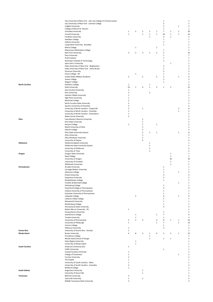|                       | City University of New York - John Jay College of Criminal Justice        |                  |                |                |                |                         | $\,1\,$                  |                |                | 1                       |
|-----------------------|---------------------------------------------------------------------------|------------------|----------------|----------------|----------------|-------------------------|--------------------------|----------------|----------------|-------------------------|
|                       | City University of New York - Lehman College                              |                  |                |                |                |                         | $\overline{2}$           |                |                | $\overline{2}$          |
|                       | Colgate University                                                        |                  |                |                |                |                         | $\overline{2}$           |                | $\mathbf 1$    | 3                       |
|                       | College of Mount St. Vincent                                              |                  |                |                |                |                         | $1\,$                    |                |                | $\mathbf{1}$            |
|                       | Columbia University                                                       | $\mathbf{1}$     | 5              | 5              | $\mathbf 2$    | $\mathbf 1$             | $\overline{\phantom{a}}$ | $\mathbf 2$    | $\mathbf 1$    | 2 <sub>4</sub>          |
|                       | Cornell University                                                        | $\mathbf 1$      |                | $\,1\,$        | $\mathbf 1$    | $\,1\,$                 | 10                       | $\,1\,$        | $\mathbf 1$    | 16                      |
|                       | Fordham University                                                        |                  |                |                | $\mathbf 1$    |                         | 3                        | $1\,$          |                | 5                       |
|                       | Hamilton College                                                          |                  |                |                |                |                         | $\mathbf 1$              |                |                | 1                       |
|                       | Hofstra University                                                        |                  |                |                |                |                         | $\mathbf 1$              |                |                | $\mathbf{1}$            |
|                       | Long Island University - Brooklyn                                         |                  |                |                |                |                         | $\mathbf 1$              |                |                | $\mathbf{1}$            |
|                       | Marist College                                                            |                  | $\,1\,$        |                |                | $\mathbf{1}$            |                          |                |                | $\overline{2}$          |
|                       | Marymount Manhattan College                                               | 3                | $\overline{2}$ | 3              | $\mathbf{1}$   | $\overline{2}$          | $\,1\,$<br>5             |                |                | $\mathbf{1}$<br>16      |
|                       | New York University<br>Pace University                                    |                  |                |                |                |                         | $\mathbf 1$              |                |                | 1                       |
|                       | Pratt Institute                                                           |                  |                |                |                |                         | $\mathbf{1}$             |                |                | $\mathbf{1}$            |
|                       | Rochester Institute of Technology                                         |                  |                |                |                |                         | $1\,$                    |                |                | $\mathbf{1}$            |
|                       | Saint John's University                                                   |                  |                |                |                |                         |                          | $\mathbf{1}$   |                | $\mathbf{1}$            |
|                       | State University of New York - Binghamton                                 |                  |                |                |                |                         | 3                        |                |                | 3                       |
|                       | State University of New York - Stony Brook                                |                  |                |                |                |                         | $\overline{2}$           |                |                | $\overline{2}$          |
|                       | <b>Syracuse University</b>                                                |                  |                |                |                |                         | 3                        |                |                | 3                       |
|                       | Union College - NY                                                        |                  | $\,1\,$        |                |                |                         | $\mathbf 1$              |                |                | $\overline{2}$          |
|                       | United States Military Academy                                            | $\mathbf 2$      |                | $\mathbf 2$    |                | $\mathbf 2$             | $\overline{\mathbf{2}}$  |                | $\mathbf 1$    | 9                       |
|                       | Vassar College                                                            |                  |                |                |                |                         | 3                        |                |                | 3                       |
|                       | Wagner College                                                            |                  |                |                |                |                         | $\mathbf 1$              |                |                | $\mathbf{1}$            |
| <b>North Carolina</b> | Davidson College                                                          | $\mathbf{1}$     |                |                | 1              |                         |                          |                |                | $\overline{2}$          |
|                       | Duke University                                                           | 10               | $\,1\,$        | 4              | $\mathbf 1$    | $\overline{\mathbf{2}}$ | $\,1\,$                  | $\mathbf 2$    |                | $\overline{2}$          |
|                       | <b>East Carolina University</b>                                           | $\mathbf 1$<br>3 |                |                | $\mathbf 2$    |                         |                          |                |                | $\mathbf{1}$<br>5       |
|                       | Elon University<br>Gardner-Webb University                                | $\mathbf{1}$     |                |                |                |                         |                          |                |                | $\mathbf{1}$            |
|                       | <b>High Point University</b>                                              | $\mathbf{1}$     |                |                |                |                         |                          |                |                | $\mathbf{1}$            |
|                       | Montreat College                                                          | $\overline{2}$   |                |                |                |                         |                          |                |                | $\overline{2}$          |
|                       | North Carolina State University                                           | $\overline{2}$   |                |                |                |                         |                          |                |                | $\overline{2}$          |
|                       | Queens University of Charlotte                                            | 3                |                |                |                |                         |                          |                |                | 3                       |
|                       | University of North Carolina - Chapel Hill                                | 5                |                | $1\,$          |                |                         |                          |                | $\overline{2}$ | 8                       |
|                       | University of North Carolina - Charlotte                                  | $\mathbf{1}$     |                |                |                |                         |                          |                | $\mathbf 1$    | $\overline{2}$          |
|                       | University of North Carolina - Greensboro                                 | $\mathbf{1}$     |                |                |                |                         |                          |                |                | 1                       |
|                       | Wake Forest University                                                    | $\overline{2}$   |                |                |                |                         |                          |                |                | $\overline{2}$          |
| Ohio                  | Case Western Reserve University                                           |                  |                | $\overline{2}$ |                |                         |                          |                |                | $\overline{2}$          |
|                       | Kent State University                                                     |                  |                | $\,1\,$        |                |                         |                          |                |                | $\mathbf{1}$            |
|                       | Kenyon College                                                            | $\mathbf{1}$     |                | $1\,$          |                | $\mathbf{1}$            |                          |                |                | 3                       |
|                       | Miami University of Ohio                                                  |                  |                | $\mathbf 2$    |                |                         |                          |                |                | $\overline{2}$          |
|                       | Oberlin College                                                           |                  |                | 3              |                |                         |                          |                |                | 3                       |
|                       | Ohio State University System                                              |                  |                | 5              | $\mathbf{1}$   | $\mathbf{1}$            |                          |                | $\mathbf 1$    | 8                       |
|                       | Ohio University                                                           |                  |                | $\sqrt{2}$     |                |                         |                          |                |                | $\overline{2}$          |
|                       | Ohio Wesleyan University                                                  |                  |                | $\,1\,$        |                |                         |                          |                |                | $\mathbf{1}$            |
|                       | University of Dayton                                                      |                  |                | $\overline{4}$ |                |                         |                          |                |                | 4                       |
| Oklahoma              | Oklahoma Baptist University                                               |                  |                |                | $\mathbf 1$    |                         |                          |                |                | $\mathbf{1}$            |
|                       | Oklahoma State University System                                          |                  |                |                | $\mathbf 1$    |                         |                          |                |                | $\mathbf{1}$            |
|                       | University of Oklahoma                                                    |                  |                |                | 5              |                         |                          |                |                | 5                       |
|                       | University of Tulsa                                                       |                  |                |                | $\overline{2}$ |                         |                          |                |                | $\overline{2}$          |
| Oregon                | Oregon State University                                                   |                  |                |                |                |                         |                          | $\mathbf{1}$   |                | 1                       |
|                       | <b>Reed College</b>                                                       |                  |                |                |                |                         |                          | $\,1\,$        |                | $\mathbf{1}$            |
|                       | University of Oregon                                                      |                  |                |                |                |                         |                          | 10             |                | 1(                      |
|                       | University of Portland                                                    |                  |                |                |                |                         |                          | $\mathbf{1}$   |                | $\mathbf{1}$            |
|                       | <b>Willamette University</b>                                              |                  |                |                |                |                         |                          | $\overline{2}$ |                | $\overline{2}$          |
| Pennsylvania          | Arcadia University                                                        |                  |                |                |                |                         | $\mathbf 1$              |                |                | $\mathbf{1}$            |
|                       | Carnegie Mellon University                                                |                  |                |                |                |                         | $\mathbf 1$              |                |                | $\mathbf{1}$            |
|                       | Dickinson College                                                         |                  |                |                |                |                         | $\mathbf 1$              |                | $\mathbf 1$    | $\overline{\mathbf{c}}$ |
|                       | <b>Drexel University</b>                                                  |                  |                |                |                |                         | 3                        |                |                | 3                       |
|                       | Duquesne University                                                       |                  |                |                |                |                         | $\overline{2}$           |                |                | $\overline{2}$          |
|                       | Elizabethtown College                                                     |                  |                |                |                |                         | 1                        |                |                |                         |
|                       | Franklin & Marshall College                                               |                  |                |                |                |                         | $\mathbf 1$              |                | $\mathbf 1$    | 1                       |
|                       | Gettysburg College<br>Haverford College in Pennsylvania                   |                  |                |                |                |                         | 4                        |                |                | 1<br>4                  |
|                       |                                                                           |                  |                |                |                |                         | $\mathbf{1}$             |                |                | $\mathbf{1}$            |
|                       | Indiana University of Pennsylvania<br>Kutztown University of Pennsylvania |                  |                |                |                |                         | 1                        |                |                | $\mathbf{1}$            |
|                       | Lafayette College                                                         |                  | $\mathbf 2$    |                |                |                         | 6                        |                | $\mathbf 1$    | 9                       |
|                       | Lebanon Valley College                                                    |                  |                |                |                |                         | $\mathbf 1$              |                |                | 1                       |
|                       | Marywood University                                                       |                  |                |                |                |                         | $\mathbf 1$              |                |                | $\mathbf{1}$            |
|                       | Muhlenberg College                                                        |                  |                |                |                |                         | $\mathbf 1$              |                |                | 1                       |
|                       | Pennsylvania State University                                             |                  |                |                |                |                         | 5                        |                |                | 5                       |
|                       | Robert Morris University - PA                                             | $\mathbf 1$      |                |                |                |                         |                          |                |                | $\mathbf{1}$            |
|                       | Susquehanna University                                                    |                  |                |                |                |                         | $\,1\,$                  |                |                | $\mathbf{1}$            |
|                       | Swarthmore College                                                        |                  | $\,1\,$        |                |                | $\mathbf 1$             | $\overline{\phantom{a}}$ |                |                | 9                       |
|                       | <b>Temple University</b>                                                  |                  | $\,1\,$        |                |                |                         | $\,1$                    |                |                | $\overline{2}$          |
|                       | University of Pennsylvania                                                | 5                | $\overline{2}$ | 3              |                | 4                       | 8                        | $\mathbf{1}$   | $\mathbf 1$    | 24                      |
|                       | University of Pittsburgh                                                  | $\mathbf{1}$     |                |                |                | $\mathbf{1}$            | $\overline{7}$           |                | $\mathbf 1$    | 1(                      |
|                       | Ursinus College                                                           |                  |                |                |                |                         | $\,1$                    |                |                | $\mathbf{1}$            |
|                       | Villanova University                                                      | $\mathbf{1}$     |                |                |                |                         | $\overline{2}$           |                |                | 3                       |
| <b>Puerto Rico</b>    | University of Puerto Rico - Arecibo                                       | $\mathbf{1}$     |                |                |                |                         |                          |                |                | 1                       |
| Rhode Island          | <b>Brown University</b>                                                   | $\sqrt{4}$       | 8              | 3              | $\mathbf 1$    | 4                       | $\overline{2}$           | $\mathbf 2$    | $\mathbf 1$    | 25                      |
|                       | Providence College                                                        |                  |                |                | $\mathbf 1$    |                         |                          |                |                | $\mathbf{1}$            |
|                       | Rhode Island School of Design                                             |                  |                |                | $\mathbf 1$    |                         | $\mathbf 1$              | $\mathbf{1}$   |                | 3                       |
|                       | Salve Regina University                                                   |                  | 1              |                |                |                         |                          |                |                | $\mathbf{1}$            |
|                       | University of Rhode Island                                                |                  | $\,1\,$        |                |                |                         |                          |                |                | $\mathbf{1}$            |
| <b>South Carolina</b> | Anderson University (SC)                                                  | $\mathbf{1}$     |                |                |                |                         |                          |                |                | $\mathbf{1}$            |
|                       | Claflin University                                                        |                  |                |                |                |                         | $\mathbf 1$              |                |                | 1                       |
|                       | Coastal Carolina University                                               | $\mathbf{1}$     |                |                |                |                         |                          |                |                | $\mathbf{1}$            |
|                       | College of Charleston                                                     | $\mathbf{1}$     |                |                |                |                         |                          |                | $\mathbf 1$    | $\overline{2}$          |
|                       | Furman University                                                         | $\overline{2}$   |                |                |                |                         |                          |                |                | $\overline{2}$          |
|                       | The Citadel                                                               | $\mathbf{1}$     |                |                |                |                         |                          |                |                | $\mathbf{1}$            |
|                       | University of South Carolina - Aiken                                      | $\mathbf{1}$     |                |                |                |                         |                          |                |                | 1                       |
|                       | University of South Carolina - Columbia                                   | 3                |                |                |                |                         |                          |                |                | 3                       |
|                       | <b>Wofford College</b>                                                    | $\mathbf{1}$     |                |                |                |                         |                          |                |                | $\mathbf{1}$            |
| South Dakota          | Augustana University                                                      |                  |                | 1              |                |                         |                          |                |                | 1                       |
|                       | University of Sioux Falls                                                 |                  |                | $\mathbf{1}$   |                |                         |                          |                |                | 1                       |
| <b>Tennessee</b>      | <b>Belmont University</b>                                                 | 3                |                |                |                |                         |                          |                |                | 3                       |
|                       | Lipscomb University                                                       | $\mathbf 1$      |                | $\,1\,$        |                |                         |                          |                |                | $\overline{2}$          |
|                       | Middle Tennessee State University                                         | 3                |                |                |                |                         |                          |                |                | 3                       |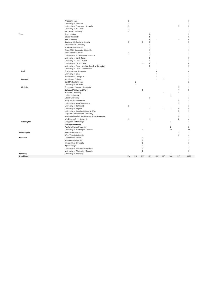|                      | <b>Rhodes College</b>                               | $\mathbf 1$    |                |                |                |                |              |                |                | $\,1\,$        |
|----------------------|-----------------------------------------------------|----------------|----------------|----------------|----------------|----------------|--------------|----------------|----------------|----------------|
|                      | University of Memphis                               | $\mathbf 1$    |                |                |                |                |              |                |                | $\mathbf 1$    |
|                      | University of Tennessee - Knoxville                 | $\mathbf 1$    |                |                |                |                |              |                | $\mathbf 1$    | $\overline{2}$ |
|                      | University of the South                             | $\overline{2}$ |                |                |                |                |              |                |                | $\overline{2}$ |
|                      | Vanderbilt University                               | $\overline{2}$ |                |                |                |                |              |                |                | $\overline{2}$ |
| Texas                | Austin College                                      |                |                |                | $\sqrt{2}$     |                |              |                |                | $\overline{2}$ |
|                      |                                                     |                |                |                | 5              |                |              |                |                | 5              |
|                      | <b>Baylor University</b>                            |                |                |                |                |                |              |                |                |                |
|                      | <b>Rice University</b>                              |                |                |                | 4              | $\,1\,$        |              |                | $\mathbf 1$    | 6              |
|                      | Southern Methodist University                       | $\mathbf{1}$   |                | $\mathbf 1$    | 3              |                |              |                |                | 5              |
|                      | Southwestern University                             |                |                |                | $\mathbf{1}$   |                |              |                |                | $\mathbf{1}$   |
|                      | St. Edward's University                             |                |                |                | $\overline{2}$ |                |              |                |                | $\overline{2}$ |
|                      | Texas A&M University - Kingsville                   |                |                |                | $\mathbf 1$    |                |              |                |                | $\mathbf{1}$   |
|                      | <b>Texas Tech University</b>                        | $\mathbf 1$    |                |                | $\mathbf 1$    |                |              |                |                | $\overline{2}$ |
|                      | University of Houston - main campus                 |                |                |                | $\mathbf 1$    |                |              |                |                | $\mathbf 1$    |
|                      | University of North Texas                           |                |                |                | $\mathbf{1}$   |                |              |                |                | $\mathbf{1}$   |
|                      | University of Texas - Austin                        |                |                |                | $\overline{4}$ |                |              |                |                | 4              |
|                      | University of Texas - Dallas                        |                |                | $\mathbf{1}$   | $\overline{4}$ | $\mathbf 1$    |              |                |                | 6              |
|                      | University of Texas - Medical Branch at Galveston   |                |                |                | $\mathbf{1}$   |                |              |                |                | $\mathbf{1}$   |
|                      | University of Texas - San Antonio                   |                |                |                | $\overline{2}$ |                |              |                |                | $\overline{2}$ |
| Utah                 | Brigham Young University                            |                |                |                |                | $\overline{4}$ |              |                |                | Δ              |
|                      | University of Utah                                  |                |                |                |                | 4              |              |                |                | 4              |
|                      | Westminster College - UT                            |                |                |                |                | $\mathbf{1}$   |              |                |                | $\mathbf{1}$   |
| Vermont              | Middlebury College                                  |                |                |                |                | $\mathbf{1}$   | $\mathbf{1}$ |                |                | $\overline{2}$ |
|                      | Saint Michael's College                             |                | $\overline{2}$ |                |                |                |              |                |                | $\overline{2}$ |
|                      | University of Vermont                               |                | $\mathbf 1$    |                |                |                |              |                |                | $\mathbf{1}$   |
|                      |                                                     |                |                |                |                |                |              |                |                |                |
| Virginia             | Christopher Newport University                      |                |                |                |                |                |              |                | $\mathbf 1$    | $\mathbf{1}$   |
|                      | College of William and Mary                         |                |                | $\mathbf 1$    |                |                |              |                | $\overline{4}$ | 5              |
|                      | Hampton University                                  |                |                |                |                |                | $\mathbf 1$  |                | $\mathbf 1$    | $\overline{2}$ |
|                      | <b>Hollins University</b>                           |                |                |                |                |                |              | $\mathbf{1}$   |                | $\mathbf{1}$   |
|                      | Liberty University                                  |                |                |                | $\,1\,$        |                |              |                |                | $\mathbf{1}$   |
|                      | Mary Baldwin University                             |                |                |                |                |                |              |                | 3              | 3              |
|                      | University of Mary Washington                       |                |                |                |                |                |              |                | $\mathbf 1$    | $\mathbf{1}$   |
|                      | University of Richmond                              | $\,1\,$        |                |                |                |                |              |                |                | $\mathbf{1}$   |
|                      | University of Virginia                              |                |                |                | $\,1\,$        |                | $\mathbf 1$  | $\mathbf 1$    | 5              | 8              |
|                      | University of Virginia's College at Wise            |                |                |                |                |                |              |                | $\mathbf 1$    | $\mathbf{1}$   |
|                      | Virginia Commonwealth University                    |                |                |                |                |                |              |                | $\overline{2}$ | $\overline{2}$ |
|                      | Virginia Polytechnic Institute and State University |                |                |                |                |                |              |                | $\overline{2}$ | $\overline{2}$ |
|                      | Washington & Lee University                         | $\mathbf 1$    |                |                | $\,1\,$        |                |              |                | $\overline{2}$ | $\overline{4}$ |
| Washington           | Evergreen State College                             |                |                |                |                |                |              | $\mathbf 1$    |                | $\mathbf{1}$   |
|                      | <b>Gonzaga University</b>                           |                |                |                |                |                |              | $\mathbf 1$    |                | $\mathbf{1}$   |
|                      | Pacific Lutheran University                         |                |                |                |                |                |              | $\overline{2}$ |                | $\overline{2}$ |
|                      | University of Washington - Seattle                  |                |                | $\mathbf 1$    |                |                |              | 12             |                | 13             |
| <b>West Virginia</b> | <b>Shepherd University</b>                          |                |                |                |                |                |              |                | $\mathbf 1$    | $\mathbf{1}$   |
|                      | West Virginia University                            |                |                |                |                |                |              |                | $\overline{4}$ | 4              |
| Wisconsin            | Lawrence University                                 |                |                | $\mathbf{1}$   |                |                |              |                |                | $\mathbf{1}$   |
|                      |                                                     |                |                |                |                |                |              |                |                |                |
|                      | Marquette University                                |                |                | $\overline{2}$ |                |                |              |                |                | $\overline{2}$ |
|                      | Mount Mary University                               |                |                | $\mathbf{1}$   |                |                |              |                |                | $\mathbf{1}$   |
|                      | <b>Ripon College</b>                                |                |                | $\mathbf 1$    |                |                |              |                |                | $\mathbf{1}$   |
|                      | University of Wisconsin - Madison                   |                |                | $\overline{7}$ |                |                |              |                |                | $\overline{7}$ |
|                      | University of Wisconsin - Oshkosh                   |                |                | $1\,$          |                |                |              |                |                | $\mathbf 1$    |
| Wyoming              | University of Wyoming                               |                |                |                |                |                |              | $\mathbf{1}$   |                | $\mathbf 1$    |
| <b>Grand Total</b>   |                                                     | 194            | 110            | 219            | 121            | 122            | 205          | 106            | 113            | 1190           |
|                      |                                                     |                |                |                |                |                |              |                |                |                |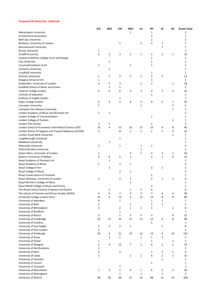### **Proposed UK University - Endorsed**

|                                                        | <b>ATL</b>     | <b>BOS</b>     | CHI            | HOU            | LA             | NΥ             | SF             | DC             | <b>Grand Total</b> |
|--------------------------------------------------------|----------------|----------------|----------------|----------------|----------------|----------------|----------------|----------------|--------------------|
| Aberystwyth University                                 |                |                |                | 1              |                | $\mathbf 1$    |                |                | $\overline{2}$     |
| <b>Architectural Association</b>                       |                |                |                |                |                | 1              |                |                | $\mathbf 1$        |
| <b>Bath Spa University</b>                             |                |                |                |                |                | $\overline{2}$ |                |                | $\overline{2}$     |
| Birkbeck, University of London                         |                |                | $\mathbf{1}$   |                | $\overline{2}$ | 3              | 1              |                | 7                  |
| <b>Bournemouth University</b>                          |                |                |                |                |                |                | 1              |                | 1                  |
| <b>Brunel University</b>                               | 1              |                |                |                |                |                |                |                | $1\,$              |
| Cardiff University                                     | $\overline{2}$ | $\overline{2}$ | 3              | $\mathbf{1}$   | $\mathbf{1}$   | 2              | 1              | 1              | 13                 |
| Central St Martins College of Art and Design           |                |                |                |                |                | $\overline{2}$ |                |                | $\overline{2}$     |
|                                                        |                |                |                |                |                |                |                |                |                    |
| <b>City University</b>                                 |                | $\mathbf 1$    |                |                |                | 1              |                |                | $\overline{2}$     |
| Courtauld Institute of Art                             | $\mathbf{1}$   |                |                | 1              |                | 1              |                |                | 3                  |
| <b>Coventry University</b>                             |                | 1              |                |                |                |                |                |                | $\mathbf 1$        |
| Cranfield University                                   |                |                |                |                |                | 1              |                |                | $\mathbf{1}$       |
| Durham University                                      | $\mathbf 1$    | 1              | $\overline{2}$ | $\overline{2}$ | $\mathbf{1}$   | 3              | $\overline{2}$ |                | 12                 |
| Glasgow School of Art                                  | $\mathbf 1$    |                |                |                |                | $\mathbf 1$    |                |                | $\overline{2}$     |
| Goldsmiths, University of London                       | 4              | 5              | 3              |                | $\overline{2}$ | 3              |                | 1              | 18                 |
| Guildhall School of Music and Drama                    |                | $\mathbf 1$    | $\mathbf 1$    |                |                |                |                |                | $\overline{2}$     |
| Imperial College London                                | 6              | 6              | 6              | 3              | $\overline{7}$ | 3              | 5              | 5              | 41                 |
| Institute of Education                                 |                |                |                |                |                | 1              |                |                | $1\,$              |
| Institute of English Studies                           |                |                | $\mathbf 1$    |                |                |                |                |                | $\mathbf{1}$       |
| King's College London                                  | 6              | 4              | 9              | 8              | 5              | 9              | 5              | 7              | 53                 |
| Lancaster University                                   | $\mathbf 1$    |                |                |                | $\mathbf{1}$   |                |                | $\overline{2}$ | $\overline{4}$     |
| Liverpool John Moores University                       |                |                |                |                |                |                |                | $\mathbf{1}$   | $1\,$              |
| London Academy of Music and Dramatic Art               | 1              | 1              |                |                |                |                |                |                | $\overline{2}$     |
| London College of Communication                        |                |                |                |                |                | $\mathbf 1$    |                |                | $\mathbf 1$        |
| London College of Fashion                              |                |                |                |                |                |                |                | 1              | $1\,$              |
|                                                        |                |                |                |                |                |                |                |                |                    |
| London Film School                                     | 1              | 1              |                |                |                | 1              |                |                | 3                  |
| London School of Economics and Political Science (LSE) | 15             | 6              | 15             | 10             | 17             | 15             | 9              | 8              | 95                 |
| London School of Hygiene and Tropical Medicine (LSHTM) | 5              |                | 8              | $\overline{2}$ | $\mathbf{1}$   | $\mathbf 1$    | 2              | 3              | 22                 |
| London South Bank University                           |                |                |                |                |                |                |                | $\mathbf{1}$   | $\mathbf{1}$       |
| Loughborough University                                |                |                | 1              |                |                |                |                |                | $1\,$              |
| Middlesex University                                   |                | 1              |                |                |                |                |                |                | $\mathbf 1$        |
| <b>Newcastle University</b>                            | $\overline{2}$ |                | $\mathbf{1}$   |                | 1              | $\mathbf 1$    |                |                | 5                  |
| Oxford Brookes University                              |                |                |                |                | 1              |                |                |                | $\mathbf{1}$       |
| Queen Mary, University of London                       | $\mathbf 1$    |                |                | 3              | $\mathbf 1$    | $\overline{2}$ | $\overline{2}$ | $\mathbf 1$    | 10                 |
| Queen's University of Belfast                          | 4              | 6              | 5              | $\mathbf{1}$   |                | $\overline{2}$ | $\mathbf 1$    | 4              | 23                 |
| Royal Academy of Dramatic Art                          |                | $\mathbf 1$    |                |                |                |                |                |                | $1\,$              |
| Royal Academy of Music                                 | 2              |                | 1              | $\mathbf{1}$   |                |                |                |                | 4                  |
| Royal College of Art                                   |                | 1              |                |                |                | 3              | 1              |                | 5                  |
| Royal College of Music                                 |                |                | $\overline{2}$ | $\mathbf 1$    |                |                |                |                | 3                  |
| Royal Conservatoire of Scotland                        |                |                |                |                |                | 2              |                |                | $\overline{2}$     |
| Royal Holloway, University of London                   | 1              |                | $\overline{2}$ | 1              |                | $\overline{2}$ | $\mathbf 1$    | 1              | 8                  |
| Royal Northern College of Music                        |                |                |                | 1              |                |                |                |                | $\mathbf 1$        |
|                                                        |                |                |                |                |                |                |                |                |                    |
| Royal Welsh College of Music and Drama                 |                |                |                |                |                | 1              |                |                | $\mathbf{1}$       |
| The Royal Central School of Speech and Drama           |                | $\mathbf 1$    |                | $\mathbf 1$    | $\mathbf 2$    | 4              |                |                | 8                  |
| The School of Oriental and African Studies (SOAS)      | 4              | 6              | 3              | 3              | 3              | 7              | 6              | 6              | 38                 |
| University College London (UCL)                        | 15             | 6              | 12             | 5              | 12             | 14             | 8              | 8              | 80                 |
| University of Aberdeen                                 | 4              |                | $\mathbf 1$    |                |                | $\mathbf 1$    | $\mathbf 1$    |                | $\overline{7}$     |
| University of Bath                                     | $\overline{2}$ |                |                | 1              |                | $\mathbf 1$    | 1              |                | 5                  |
| University of Birmingham                               | $\overline{2}$ |                | $\overline{2}$ | $\mathbf{1}$   | $\mathbf{1}$   | 1              |                | $\mathbf 1$    | 8                  |
| University of Bradford                                 |                |                | $\mathbf{1}$   |                |                |                |                |                | $\mathbf{1}$       |
| University of Bristol                                  | 3              |                | 5              | 3              | 5              | 3              |                | 4              | 23                 |
| University of Cambridge                                | 14             | 12             | 23             | 11             | 12             | 12             | 6              | 8              | 98                 |
| University of Cumbria                                  |                |                |                |                |                | 1              |                |                | $\mathbf 1$        |
| University of East Anglia                              | $\overline{2}$ | $\overline{2}$ | $\overline{2}$ | $\mathbf{1}$   |                |                | 1              |                | 8                  |
| University of East London                              | $\mathbf{1}$   |                |                |                |                |                |                |                | $\mathbf{1}$       |
| University of Edinburgh                                | 16             | 4              | 21             | 15             | 12             | 15             | 4              | 14             | 101                |
| University of Essex                                    |                | $\mathbf 1$    | $\mathbf 1$    |                | $\mathbf{1}$   | $\mathbf{1}$   | $\mathbf 1$    |                | 5                  |
| University of Exeter                                   |                |                |                |                |                | 1              |                |                | 3                  |
|                                                        | $\mathbf 1$    |                |                |                |                |                |                | 1              |                    |
| University of Glasgow                                  | $\overline{2}$ | 4              | 12             | $\overline{7}$ | $\mathbf{1}$   | 4              | 1              | $\overline{2}$ | 33                 |
| University of Hertfordshire                            | $\mathbf{1}$   |                |                |                |                |                |                |                | $\mathbf{1}$       |
| University of Kent                                     | $\overline{2}$ |                | $\overline{2}$ |                |                | 2              | 1              | $\mathbf 1$    | 8                  |
| University of Leeds                                    | 5              |                |                | $\mathbf 1$    | $\mathbf 1$    | 6              | $\mathbf 1$    | $1\,$          | 15                 |
| University of Leicester                                |                |                |                |                |                |                | 1              |                | $\mathbf{1}$       |
| University of Lincoln                                  |                |                |                |                |                | $\mathbf 1$    |                |                | $\mathbf 1$        |
| University of Liverpool                                |                |                | 1              |                |                |                |                |                | $\mathbf{1}$       |
| University of Manchester                               | $\mathbf{1}$   | 3              | 5              | 4              | $\mathbf 1$    | 6              | 3              | 3              | 26                 |
| University of Nottingham                               |                |                | $\mathbf 1$    |                | $\mathbf 1$    |                | $\mathbf 1$    |                | 3                  |
| University of Oxford                                   | 38             | 26             | 48             | 21             | 23             | 48             | 31             | 25             | 260                |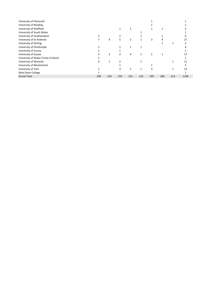| University of Plymouth               |     |                |     |               |     |     |     |     |      |
|--------------------------------------|-----|----------------|-----|---------------|-----|-----|-----|-----|------|
| University of Reading                |     |                |     |               |     |     |     |     |      |
| University of Sheffield              |     |                |     |               |     |     |     |     |      |
| University of South Wales            |     |                |     |               |     |     |     |     |      |
| University of Southampton            |     |                |     |               |     |     |     |     |      |
| University of St Andrews             |     | 4              | 5   | 3             |     | 3   |     |     | 27   |
| University of Stirling               |     |                |     |               |     |     |     |     |      |
| University of Strathclyde            |     |                |     |               |     |     |     |     |      |
| University of Surrey                 |     |                |     |               |     |     |     |     |      |
| University of Sussex                 |     | $\overline{2}$ |     | 4             |     |     |     |     |      |
| University of Wales Trinity St David |     |                |     |               |     |     |     |     |      |
| University of Warwick                | 6   |                |     |               |     |     |     |     | 11   |
| University of Westminster            |     |                |     |               |     |     |     |     |      |
| University of York                   |     |                |     | $\mathcal{P}$ |     |     |     |     | 12   |
| West Dean College                    |     |                |     |               |     |     |     |     |      |
| <b>Grand Total</b>                   | 194 | 110            | 219 | 121           | 122 | 205 | 106 | 113 | 1190 |
|                                      |     |                |     |               |     |     |     |     |      |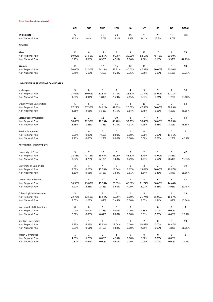#### **Total Number- Interviewed**

|                                    | <b>ATL</b>     | <b>BOS</b>     | <b>CHIG</b>    | HOU            | LA           | ΝY             | SF             | DC             | <b>TOTAL</b>   |
|------------------------------------|----------------|----------------|----------------|----------------|--------------|----------------|----------------|----------------|----------------|
| <b>BY REGION</b>                   | 22             | 16             | 26             | 23             | 15           | 23             | 20             | 18             | 163            |
| % of National Pool                 | 13.5%          | 9.8%           | 16.0%          | 14.1%          | 9.2%         | 14.1%          | 12.3%          | 11.0%          |                |
| <b>GENDER</b>                      |                |                |                |                |              |                |                |                |                |
| Men                                | 11             | 6              | 14             | 8              | 3            | 12             | 10             | 9              | 73             |
| % of Regional Pool                 | 50.00%         | 37.50%         | 53.85%         | 34.78%         | 20.00%       | 52.17%         | 45.45%         | 50.00%         |                |
| % of National Pool                 | 6.75%          | 3.68%          | 8.59%          | 4.91%          | 1.84%        | 7.36%          | 6.13%          | 5.52%          | 44.79%         |
| Women                              | 11             | 10             | 12             | 15             | 12           | 11             | 10             | 9              | 90             |
| % of Regional Pool                 | 50.00%         | 62.50%         | 46.15%         | 65.22%         | 80.00%       | 47.83%         | 50.00%         | 50.00%         |                |
| % of National Pool                 | 6.75%          | 6.13%          | 7.36%          | 9.20%          | 7.36%        | 6.75%          | 6.13%          | 5.52%          | 55.21%         |
| UNIVERSITIES PRESENTING CANDIDATES |                |                |                |                |              |                |                |                |                |
| Ivy League                         | 3              | 8              | 3              | $\overline{2}$ | 4            | 5              | 3              | $\overline{2}$ | 30             |
| % of Regional Pool                 | 13.64%         | 50.00%         | 11.54%         | 8.70%          | 26.67%       | 21.74%         | 15.00%         | 11.11%         |                |
| % of National Pool                 | 1.84%          | 4.91%          | 1.84%          | 1.23%          | 2.45%        | 3.07%          | 1.84%          | 1.23%          | 18.40%         |
| <b>Other Private Universities</b>  | 6              | 6              | 9              | 11             | 3            | 11             | 10             | $\overline{7}$ | 63             |
| % of Regional Pool                 | 27.27%         | 37.50%         | 34.62%         | 47.83%         | 20.00%       | 47.83%         | 50.00%         | 38.89%         |                |
| % of National Pool                 | 3.68%          | 3.68%          | 5.52%          | 6.75%          | 1.84%        | 6.75%          | 6.13%          | 4.29%          | 38.65%         |
| <b>State/Public Universities</b>   | 11             | $\overline{2}$ | 12             | 10             | 8            | 7              | 6              | $\overline{7}$ | 63             |
| % of Regional Pool                 | 50.00%         | 12.50%         | 46.15%         | 43.48%         | 53.33%       | 30.43%         | 30.00%         | 38.89%         |                |
| % of National Pool                 | 6.75%          | 1.23%          | 7.36%          | 6.13%          | 4.91%        | 4.29%          | 3.68%          | 4.29%          | 38.65%         |
| Service Academies                  | $\overline{2}$ | 0              | $\overline{2}$ | 0              | 0            | 0              | $\mathbf{1}$   | $\overline{2}$ | $\overline{7}$ |
| % of Regional Pool                 | 9.09%          | 0.00%          | 7.69%          | 0.00%          | 0.00%        | 0.00%          | 5.00%          | 11.11%         |                |
| % of National Pool                 | 1.23%          | 0.00%          | 1.23%          | 0.00%          | 0.00%        | 0.00%          | 0.61%          | 1.23%          | 4.29%          |
| PREFERRED UK UNIVERSITY            |                |                |                |                |              |                |                |                |                |
| University of Oxford               | 5              | 7              | 10             | 6              | 7            | $\overline{2}$ | 9              | $\mathbf{1}$   | 47             |
| % of Regional Pool                 | 22.73%         | 43.75%         | 38.46%         | 26.09%         | 46.67%       | 8.70%          | 45.00%         | 5.56%          |                |
| % of National Pool                 | 3.07%          | 4.29%          | 6.13%          | 3.68%          | 4.29%        | 1.23%          | 5.52%          | 0.61%          | 28.83%         |
| University of Cambridge            | 2              | $\mathbf{1}$   | 4              | 3              | $\mathbf{1}$ | 3              | $\overline{2}$ | 3              | 19             |
| % of Regional Pool                 | 9.09%          | 6.25%          | 15.38%         | 13.04%         | 6.67%        | 13.04%         | 10.00%         | 16.67%         |                |
| % of National Pool                 | 1.23%          | 0.61%          | 2.45%          | 1.84%          | 0.61%        | 1.84%          | 1.23%          | 1.84%          | 11.66%         |
| Universities in London             | 8              | 4              | 4              | 6              | 7            | 5              | 6              | 8              | 48             |
| % of Regional Pool                 | 36.36%         | 25.00%         | 15.38%         | 26.09%         | 46.67%       | 21.74%         | 30.00%         | 44.44%         |                |
| % of National Pool                 | 4.91%          | 2.45%          | 2.45%          | 3.68%          | 4.29%        | 3.07%          | 3.68%          | 4.91%          | 29.45%         |
| <b>Other English Universities</b>  | 5              | $\overline{2}$ | 3              | 4              | 0            | 5              | 3              | 3              | 25             |
| % of Regional Pool                 | 22.73%         | 12.50%         | 11.54%         | 17.39%         | 0.00%        | 21.74%         | 15.00%         | 16.67%         |                |
| % of National Pool                 | 3.07%          | 1.23%          | 1.84%          | 2.45%          | 0.00%        | 3.07%          | 1.84%          | 1.84%          | 15.34%         |
| Northern Irish Universities        | 0              | 0              | $\mathbf{1}$   | 0              | 0            | $\mathbf{1}$   | 0              | 0              | $\mathbf{2}$   |
| % of Regional Pool                 | 0.00%          | 0.00%          | 3.85%          | 0.00%          | 0.00%        | 4.35%          | 0.00%          | 0.00%          |                |
| % of National Pool                 | 0.00%          | 0.00%          | 0.61%          | 0.00%          | 0.00%        | 0.61%          | 0.00%          | 0.00%          | 1.23%          |
| <b>Scottish Universities</b>       | 1              | 1              | 4              | 3              | 0            | $\overline{7}$ | 0              | 3              | 19             |
| % of Regional Pool                 | 4.55%          | 6.25%          | 15.38%         | 13.04%         | 0.00%        | 30.43%         | 0.00%          | 16.67%         |                |
| % of National Pool                 | 0.61%          | 0.61%          | 2.45%          | 1.84%          | 0.00%        | 4.29%          | 0.00%          | 1.84%          | 11.66%         |
| <b>Welsh Universities</b>          | $\mathbf{1}$   | $\mathbf{1}$   | $\pmb{0}$      | $\mathbf{1}$   | 0            | 0              | 0              | 0              | 3              |
| % of Regional Pool                 | 4.55%          | 6.25%          | 0.00%          | 4.35%          | 0.00%        | 0.00%          | 0.00%          | 0.00%          |                |
| % of National Pool                 | 0.61%          | 0.61%          | 0.00%          | 0.61%          | 0.00%        | 0.00%          | 0.00%          | 0.00%          | 1.84%          |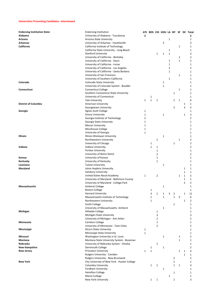### **Universities Presenting Candidates -Interviewed**

| <b>Endorsing Institution State</b> | <b>Endorsing Institution</b>                 |                |              |                |              |   |                |              | ATL BOS CHI HOU LA NY SF DC Total |
|------------------------------------|----------------------------------------------|----------------|--------------|----------------|--------------|---|----------------|--------------|-----------------------------------|
| Alabama                            | University of Alabama - Tuscaloosa           | $\overline{2}$ |              |                |              |   |                |              | 2                                 |
| Arizona                            | Arizona State University                     |                |              |                |              | 1 |                |              | 1                                 |
| Arkansas                           | University of Arkansas - Fayetteville        |                |              |                | 3            |   |                |              | 3                                 |
| California                         | California Institute of Technology           |                |              |                |              |   |                | 1            | 1                                 |
|                                    | California State University - Long Beach     |                |              |                |              | 1 |                |              | 1                                 |
|                                    | <b>Stanford University</b>                   |                |              | 1              | 1            | 1 |                |              | 3                                 |
|                                    | University of California - Berkeley          |                |              |                |              |   |                | 2            | $\overline{2}$                    |
|                                    |                                              |                |              |                |              | 1 |                | $\mathbf{1}$ | $\overline{2}$                    |
|                                    | University of California - Davis             |                |              |                |              |   |                |              |                                   |
|                                    | University of California - Irvine            |                |              |                |              | 1 |                |              | 1                                 |
|                                    | University of California - Los Angeles       |                |              |                |              | 2 |                |              | $\overline{2}$                    |
|                                    | University of California - Santa Barbara     |                |              |                |              | 1 |                |              | 1                                 |
|                                    | University of San Francisco                  |                |              |                |              |   |                | 1            | 1                                 |
|                                    | University of Southern California            |                |              |                |              | 1 |                |              | 1                                 |
| Colorado                           | Colorado State University                    |                |              |                | 1            |   |                |              | 1                                 |
|                                    | University of Colorado System - Boulder      |                |              |                | 1            |   |                |              | 1                                 |
| Connecticut                        | <b>Connecticut College</b>                   |                |              |                |              |   |                | 1            | 1                                 |
|                                    | Southern Connecticut State University        |                |              |                |              |   | 1              |              | 1                                 |
|                                    | University of Connecticut                    |                | 1            |                |              |   |                |              | $1\,$                             |
|                                    | <b>Yale University</b>                       | 1              | $\mathbf{1}$ | $1\,$          |              |   | 2              | $\mathbf{1}$ | 6                                 |
|                                    |                                              |                |              |                |              |   |                |              |                                   |
| <b>District of Columbia</b>        | American University                          |                |              |                |              |   |                |              | 1<br>1                            |
|                                    | Georgetown University                        |                |              |                |              |   | 2              |              | 5<br>3                            |
| Georgia                            | <b>Agnes Scott College</b>                   | 1              |              |                |              |   |                |              | $\mathbf{1}$                      |
|                                    | <b>Emory University</b>                      | 1              |              |                | 1            |   |                |              | 3<br>1                            |
|                                    | Georgia Institute of Technology              | $\overline{2}$ |              |                |              |   |                |              | $\overline{2}$                    |
|                                    | Georgia State University                     | $\mathbf{1}$   |              |                |              |   |                |              | 1                                 |
|                                    | <b>Mercer University</b>                     | $\mathbf{1}$   |              |                |              |   |                |              | 1                                 |
|                                    | Morehouse College                            | $\mathbf{1}$   |              |                |              |   |                |              | 1                                 |
|                                    | University of Georgia                        | $\mathbf{1}$   |              |                |              |   |                |              | 1                                 |
| Illinois                           | Illinois Wesleyan University                 |                |              |                | 1            |   |                |              | 1                                 |
|                                    |                                              |                |              |                |              |   |                |              | $\overline{2}$                    |
|                                    | Northwestern University                      |                |              | 1              |              |   |                | 1            |                                   |
|                                    | University of Chicago                        |                | 1            |                |              |   | $\mathbf 1$    |              | $\overline{2}$                    |
| Indiana                            | Indiana University                           |                | 1            | 1              |              |   |                |              | $\overline{2}$                    |
|                                    | <b>Purdue University</b>                     |                |              | 1              |              |   |                |              | $\mathbf{1}$                      |
|                                    | University of Notre Dame                     |                |              | 2              |              |   |                |              | $\overline{2}$                    |
| Kansas                             | University of Kansas                         |                |              | 1              |              |   |                |              | 1                                 |
| Kentucky                           | University of Kentucky                       |                |              | 1              |              |   |                |              | 1                                 |
| Louisiana                          | <b>Tulane University</b>                     |                |              |                | 1            |   |                |              | 1                                 |
| Maryland                           | Johns Hopkins University                     |                |              |                |              |   |                |              | 1<br>1                            |
|                                    | Salisbury University                         |                |              |                |              |   |                |              | 1<br>1                            |
|                                    | United States Naval Academy                  | 1              |              | $\overline{2}$ |              |   |                | 1            | 5<br>1                            |
|                                    |                                              |                |              |                |              |   |                |              | $\mathbf{1}$                      |
|                                    | University of Maryland - Baltimore County    |                |              |                |              |   |                |              | 1                                 |
|                                    | University of Maryland - College Park        |                |              |                |              |   |                |              | $\overline{2}$<br>$\overline{2}$  |
| <b>Massachusetts</b>               | <b>Amherst College</b>                       |                |              |                | 1            |   |                |              | 1                                 |
|                                    | <b>Boston College</b>                        |                | 1            |                |              |   |                |              | 1                                 |
|                                    | <b>Harvard University</b>                    |                | 3            | $\mathbf{1}$   | 1            | 3 | $\overline{2}$ |              | 1<br>11                           |
|                                    | Massachusetts Institute of Technology        |                | 1            |                | $\mathbf{1}$ |   | $\mathbf{1}$   | 3            | 6                                 |
|                                    | Northeastern University                      |                | 1            |                |              |   |                |              | 1<br>2                            |
|                                    | Smith College                                |                |              |                |              |   | 1              |              | 1                                 |
|                                    | University of Massachusetts- Amherst         |                |              |                | $\mathbf 1$  |   |                |              | 1                                 |
| Michigan                           | Hillsdale College                            |                |              | 1              |              |   |                |              | 1                                 |
|                                    | Michigan State University                    |                |              | 3              |              |   |                |              | 3                                 |
|                                    | University of Michigan - Ann Arbor           |                |              | 2              |              |   |                |              | $\overline{2}$                    |
|                                    |                                              |                |              |                |              |   |                |              |                                   |
| Minnesota                          | Carleton College                             |                |              | 1              |              |   |                |              | 1                                 |
|                                    | University of Minnesota - Twin Cities        |                |              | 2              |              |   |                |              | $\overline{2}$                    |
| Mississippi                        | <b>Alcorn State University</b>               | 1              |              |                |              |   |                |              | 1                                 |
|                                    | Mississippi State University                 | 1              |              |                |              |   |                |              | 1                                 |
| Missouri                           | Washington University in St. Louis           |                |              |                | 1            |   |                | 1            | $\overline{2}$                    |
| Montana                            | Montana State University System - Bozeman    |                |              |                |              |   |                | 1            | 1                                 |
| Nebraska                           | University of Nebraska System - Omaha        |                |              | 1              |              |   |                |              | 1                                 |
| New Hampshire                      | Dartmouth College                            |                | 1            |                | 1            |   |                |              | $\overline{2}$                    |
| New Jersey                         | Princeton University                         | 1              | $\mathbf{1}$ |                |              |   |                | 1            | 4<br>1                            |
|                                    | Rutgers University - Camden                  |                |              |                |              |   |                |              | 1<br>1                            |
|                                    |                                              |                |              |                |              |   |                |              | $\overline{2}$                    |
|                                    | Rutgers University - New Brunswick           |                |              |                |              |   | 2              |              |                                   |
| New York                           | City University of New York - Hunter College |                |              |                |              |   | 1              |              | 1                                 |
|                                    | Columbia University                          |                | $\mathbf{1}$ | 1              |              |   | 1              | $\mathbf{1}$ | 4                                 |
|                                    | Fordham University                           |                |              |                | 1            |   |                |              | 1                                 |
|                                    | <b>Hamilton College</b>                      |                |              |                |              |   | 1              |              | 1                                 |
|                                    | Marist College                               |                |              |                |              | 1 |                |              | $\mathbf{1}$                      |
|                                    | New York University                          |                | 1            | 1              |              |   | 1              |              | 3                                 |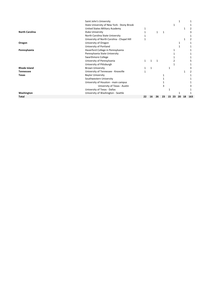|                       | Saint John's University                    |    |    |    |    |    |     |    |    |     |
|-----------------------|--------------------------------------------|----|----|----|----|----|-----|----|----|-----|
|                       | State University of New York - Stony Brook |    |    |    |    |    | 1   |    |    |     |
|                       | United States Military Academy             |    |    |    |    |    |     |    |    |     |
| <b>North Carolina</b> | Duke University                            |    |    |    |    |    |     |    |    |     |
|                       | North Carolina State University            |    |    |    |    |    |     |    |    |     |
|                       | University of North Carolina - Chapel Hill |    |    |    |    |    |     |    |    |     |
| Oregon                | University of Oregon                       |    |    |    |    |    |     |    |    |     |
|                       | University of Portland                     |    |    |    |    |    |     |    |    |     |
| Pennsylvania          | Haverford College in Pennsylvania          |    |    |    |    |    |     |    |    |     |
|                       | Pennsylvania State University              |    |    |    |    |    |     |    |    |     |
|                       | Swarthmore College                         |    |    |    |    |    |     |    |    |     |
|                       | University of Pennsylvania                 |    |    |    |    |    |     |    |    |     |
|                       | University of Pittsburgh                   |    |    |    |    |    |     |    |    |     |
| <b>Rhode Island</b>   | <b>Brown University</b>                    |    |    |    |    | 1  |     |    |    |     |
| <b>Tennessee</b>      | University of Tennessee - Knoxville        |    |    |    |    |    |     |    |    |     |
| Texas                 | <b>Baylor University</b>                   |    |    |    |    |    |     |    |    |     |
|                       | Southwestern University                    |    |    |    |    |    |     |    |    |     |
|                       | University of Houston - main campus        |    |    |    |    |    |     |    |    |     |
|                       | University of Texas - Austin               |    |    |    |    |    |     |    |    |     |
|                       | University of Texas - Dallas               |    |    |    |    |    |     |    |    |     |
| Washington            | University of Washington - Seattle         |    |    |    |    |    |     |    |    |     |
| Total                 |                                            | 22 | 16 | 26 | 23 | 15 | -23 | 20 | 18 | 163 |
|                       |                                            |    |    |    |    |    |     |    |    |     |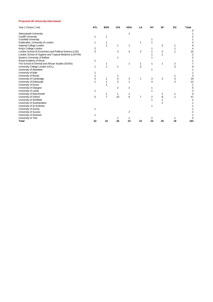#### **Proposed UK University-Interviewed**

| Year 1 Choice 1 Inst                                   | <b>ATL</b> | <b>BOS</b>     | <b>CHI</b>     | HOU            | LA             | <b>NY</b> | SF             | DC | <b>Total</b> |
|--------------------------------------------------------|------------|----------------|----------------|----------------|----------------|-----------|----------------|----|--------------|
|                                                        |            |                |                |                |                |           |                |    |              |
| Aberystwyth University                                 |            |                |                |                |                |           |                |    |              |
| <b>Cardiff University</b>                              |            |                |                |                |                |           |                |    |              |
| <b>Cranfield University</b>                            |            |                |                |                |                |           |                |    |              |
| Goldsmiths, University of London                       |            |                |                |                |                |           |                |    |              |
| Imperial College London                                |            |                |                |                |                |           | $\overline{2}$ |    |              |
| King's College London                                  |            |                |                |                |                |           |                |    |              |
| London School of Economics and Political Science (LSE) | 3          |                | $\overline{2}$ | 4              | $\overline{2}$ |           | $\overline{2}$ |    | 15           |
| London School of Hygiene and Tropical Medicine (LSHTM) |            |                |                |                |                |           |                |    |              |
| Queen's University of Belfast                          |            |                |                |                |                |           |                |    |              |
| Royal Academy of Music                                 |            |                |                |                |                |           |                |    |              |
| The School of Oriental and African Studies (SOAS)      |            |                |                |                |                |           |                | 2  |              |
| University College London (UCL)                        |            |                |                |                | 3              |           |                | 3  |              |
| University of Aberdeen                                 |            |                |                |                |                |           |                |    |              |
| University of Bath                                     |            |                |                |                |                |           |                |    |              |
| University of Bristol                                  |            |                |                |                |                |           |                |    |              |
| University of Cambridge                                |            |                |                | 3              |                | 3         | $\overline{2}$ | 3  | 19           |
| University of Edinburgh                                |            |                | $\overline{2}$ |                |                |           |                | 3  | 12           |
| University of Essex                                    |            |                |                |                |                |           |                |    |              |
| University of Glasgow                                  |            |                | 2              | $\overline{2}$ |                |           |                |    |              |
| University of Leeds                                    |            |                |                |                |                |           |                |    |              |
| University of Manchester                               |            |                |                |                |                |           |                |    |              |
| University of Oxford                                   | 5          | $\overline{7}$ | 10             | 6              | 7              | 2         |                |    |              |
| University of Sheffield                                |            |                |                |                |                |           |                |    |              |
| University of Southampton                              |            |                |                |                |                |           |                |    |              |
| University of St Andrews                               |            |                |                |                |                |           |                |    |              |
| University of Surrey                                   |            |                |                |                |                |           |                |    |              |
| University of Sussex                                   |            |                |                | $\overline{2}$ |                |           |                |    |              |
| University of Warwick                                  |            |                |                |                |                |           |                |    |              |
| University of York                                     |            |                |                |                |                |           |                |    |              |
| Total                                                  | 22         | 16             | 26             | 23             | 15             | 23        | 20             | 18 | 163          |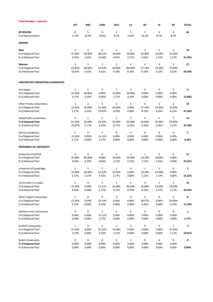| Total Numbers - Selected           |              |                |              |                |                |                |                |                |                |
|------------------------------------|--------------|----------------|--------------|----------------|----------------|----------------|----------------|----------------|----------------|
|                                    | <b>ATL</b>   | <b>BOS</b>     | <b>CHIG</b>  | HOU            | LA             | NΥ             | SF             | DC             | <b>TOTAL</b>   |
| <b>BY REGION</b>                   | 8            | 5              | 9            | 4              | 5              | 7              | 4              | 4              | 46             |
| % of National Pool                 | 17.4%        | 10.9%          | 19.6%        | 8.7%           | 10.9%          | 15.2%          | 8.7%           | 8.7%           |                |
| GENDER                             |              |                |              |                |                |                |                |                |                |
| Men                                | 3            | $\overline{2}$ | 6            | $\overline{2}$ | $1\,$          | 3              | 1              | $\mathbf{1}$   | 19             |
| % of Regional Pool                 | 37.50%       | 40.00%         | 66.67%       | 50.00%         | 20.00%         | 42.86%         | 12.50%         | 25.00%         |                |
| % of National Pool                 | 6.52%        | 4.35%          | 13.04%       | 4.35%          | 2.17%          | 6.52%          | 2.17%          | 2.17%          | 41.30%         |
| Women                              | 5            | 3              | 3            | $\overline{2}$ | 4              | 4              | 3              | 3              | 27             |
| % of Regional Pool                 | 62.50%       | 60.00%         | 33.33%       | 50.00%         | 80.00%         | 57.14%         | 75.00%         | 75.00%         |                |
| % of National Pool                 | 10.87%       | 6.52%          | 6.52%        | 4.35%          | 8.70%          | 8.70%          | 6.52%          | 6.52%          | 58.70%         |
| UNIVERSITIES PRESENTING CANDIDATES |              |                |              |                |                |                |                |                |                |
| <b>Ivy League</b>                  | $\mathbf 1$  | $\overline{2}$ | 0            | $\mathbf{1}$   | $\overline{2}$ | 0              | 0              | 0              | 6              |
| % of Regional Pool                 | 12.50%       | 40.00%         | 0.00%        | 25.00%         | 40.00%         | 0.00%          | 0.00%          | 0.00%          |                |
| % of National Pool                 | 2.17%        | 4.35%          | 0.00%        | 2.17%          | 4.35%          | 0.00%          | 0.00%          | 0.00%          | 13.04%         |
|                                    |              |                |              |                |                |                |                |                |                |
| <b>Other Private Universities</b>  | $\mathbf{1}$ | $\overline{2}$ | 5            | 2              | 0              | 4              | $\overline{2}$ | 3              | 19             |
| % of Regional Pool                 | 12.50%       | 40.00%         | 55.56%       | 50.00%         | 0.00%          | 57.14%         | 50.00%         | 75.00%         |                |
| % of National Pool                 | 2.17%        | 4.35%          | 10.87%       | 4.35%          | 0.00%          | 8.70%          | 4.35%          | 6.52%          | 41.30%         |
| <b>State/Public Universities</b>   | 5            | $\mathbf{1}$   | 3            | $\mathbf{1}$   | 3              | 3              | $\overline{2}$ | $\mathbf{1}$   | 19             |
| % of Regional Pool                 | 62.50%       | 20.00%         | 33.33%       | 25.00%         | 60.00%         | 42.86%         | 50.00%         | 25.00%         |                |
| % of National Pool                 | 10.87%       | 2.17%          | 6.52%        | 2.17%          | 6.52%          | 6.52%          | 4.35%          | 2.17%          | 41.30%         |
| Service Academies                  | 1            | 0              | $\mathbf{1}$ | 0              | 0              | 0              | 0              | 0              | $\mathbf{2}$   |
| % of Regional Pool                 | 12.50%       | 0.00%          | 11.11%       | 0.00%          | 0.00%          | 0.00%          | 0.00%          | 0.00%          |                |
| % of National Pool                 | 2.17%        | 0.00%          | 2.17%        | 0.00%          | 0.00%          | 0.00%          | 0.00%          | 0.00%          | 4.35%          |
| PREFERRED UK UNIVERSITY            |              |                |              |                |                |                |                |                |                |
| University of Oxford               | 2            | 4              | 0            | 1              | $\mathbf{1}$   | $\mathbf{1}$   | $\overline{2}$ | 0              | 11             |
| % of Regional Pool                 | 25.00%       | 80.00%         | 0.00%        | 25.00%         | 20.00%         | 14.29%         | 50.00%         | 0.00%          |                |
| % of National Pool                 | 4.35%        | 8.70%          | 0.00%        | 2.17%          | 2.17%          | 2.17%          | 4.35%          | 0.00%          | 23.91%         |
| University of Cambridge            | $\mathbf{1}$ | $\mathbf{1}$   | 2            | $\mathbf{1}$   | 0              | $\mathbf{1}$   | $\mathbf{1}$   | 0              | $\overline{ }$ |
| % of Regional Pool                 | 12.50%       | 20.00%         | 22.22%       | 25.00%         | 0.00%          | 14.29%         | 25.00%         | 0.00%          |                |
| % of National Pool                 | 2.17%        | 2.17%          | 4.35%        | 2.17%          | 0.00%          | 2.17%          | 2.17%          | 0.00%          | 15.22%         |
| Universities in London             | 3            | 0              | $\mathbf 1$  | $\mathbf 1$    | $\sqrt{4}$     | 3              | $\mathbf 1$    | $\mathbf 1$    | 14             |
| % of Regional Pool                 | 37.50%       | 0.00%          | 11.11%       | 25.00%         | 80.00%         | 42.86%         | 25.00%         | 25.00%         |                |
| % of National Pool                 | 6.52%        | 0.00%          | 2.17%        | 2.17%          | 8.70%          | 6.52%          | 2.17%          | 2.17%          | 30.43%         |
| <b>Other English Universities</b>  | $\mathbf 1$  | 0              | 3            | 0              | 0              | $\overline{2}$ | 0              | $\overline{2}$ | 8              |
| % of Regional Pool                 | 12.50%       | 0.00%          | 33.33%       | 0.00%          | 0.00%          | 28.57%         | 0.00%          | 50.00%         |                |
| % of National Pool                 | 2.17%        | 0.00%          | 6.52%        | 0.00%          | 0.00%          | 4.35%          | 0.00%          | 4.35%          | 17.39%         |
| Northern Irish Universities        | 0            | 0              | $\mathbf{1}$ | 0              | 0              | 0              | 0              | 0              | 1              |
| % of Regional Pool                 | 0.00%        | 0.00%          | 11.11%       | 0.00%          | 0.00%          | 0.00%          | 0.00%          | 0.00%          |                |
| % of National Pool                 | 0.00%        | 0.00%          | 2.17%        | 0.00%          | 0.00%          | 0.00%          | 0.00%          | 0.00%          | 2.17%          |
| <b>Scottish Universities</b>       | $\mathbf 1$  | 0              | 2            | 1              | 0              | 0              | 0              | $\mathbf{1}$   | 5              |
| % of Regional Pool                 | 12.50%       | 0.00%          | 22.22%       | 25.00%         | 0.00%          | 0.00%          | 0.00%          | 25.00%         |                |
| % of National Pool                 | 2.17%        | 0.00%          | 4.35%        | 2.17%          | 0.00%          | 0.00%          | 0.00%          | 2.17%          | 10.87%         |
| Welsh Universities                 | 0            | 0              | $\pmb{0}$    | 0              | 0              | 0              | 0              | 0              | 0              |
| % of Regional Pool                 | 0.00%        | 0.00%          | 0.00%        | 0.00%          | 0.00%          | 0.00%          | 0.00%          | 0.00%          |                |
| % of National Pool                 | 0.00%        | 0.00%          | 0.00%        | 0.00%          | 0.00%          | 0.00%          | 0.00%          | 0.00%          | 0.00%          |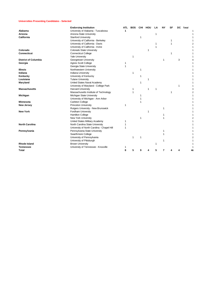#### **Universities Presenting Candidates - Selected**

|                             | <b>Endorsing Institution</b>               | <b>ATL</b> | <b>BOS</b> | <b>CHI</b> | HOU | LA | NY | SF | <b>DC</b> | Total |  |
|-----------------------------|--------------------------------------------|------------|------------|------------|-----|----|----|----|-----------|-------|--|
| Alabama                     | University of Alabama - Tuscaloosa         | 1          |            |            |     |    |    |    |           |       |  |
| Arizona                     | Arizona State University                   |            |            |            |     | 1  |    |    |           |       |  |
| California                  | <b>Stanford University</b>                 |            |            | 1          |     |    |    |    |           |       |  |
|                             | University of California - Berkeley        |            |            |            |     |    |    | 1  |           |       |  |
|                             | University of California - Davis           |            |            |            |     |    |    | 1  |           |       |  |
|                             | University of California - Irvine          |            |            |            |     |    |    |    |           |       |  |
| Colorado                    | Colorado State University                  |            |            |            | 1   |    |    |    |           |       |  |
| <b>Connecticut</b>          | <b>Connecticut College</b>                 |            |            |            |     |    |    |    |           |       |  |
|                             | <b>Yale University</b>                     |            | 1          |            |     |    |    |    |           |       |  |
| <b>District of Columbia</b> | Georgetown University                      |            |            |            |     |    |    |    | 3         |       |  |
| Georgia                     | <b>Agnes Scott College</b>                 |            |            |            |     |    |    |    |           |       |  |
|                             | Georgia State University                   |            |            |            |     |    |    |    |           |       |  |
| <b>Illinois</b>             | Northwestern University                    |            |            | 1          |     |    |    |    |           |       |  |
| Indiana                     | <b>Indiana University</b>                  |            | 1          |            |     |    |    |    |           |       |  |
| Kentucky                    | University of Kentucky                     |            |            | 1          |     |    |    |    |           |       |  |
| Louisiana                   | <b>Tulane University</b>                   |            |            |            |     |    |    |    |           |       |  |
| Maryland                    | United States Naval Academy                |            |            |            |     |    |    |    |           |       |  |
|                             | University of Maryland - College Park      |            |            |            |     |    |    |    | 1         |       |  |
| <b>Massachusetts</b>        | <b>Harvard University</b>                  |            | 1          |            | 1   |    |    |    |           |       |  |
|                             | Massachusetts Institute of Technology      |            |            |            |     |    |    |    |           |       |  |
| Michigan                    | Michigan State University                  |            |            |            |     |    |    |    |           |       |  |
|                             | University of Michigan - Ann Arbor         |            |            |            |     |    |    |    |           |       |  |
| Minnesota                   | <b>Carleton College</b>                    |            |            |            |     |    |    |    |           |       |  |
| <b>New Jersey</b>           | <b>Princeton University</b>                |            |            |            |     |    |    |    |           |       |  |
|                             | Rutgers University - New Brunswick         |            |            |            |     |    |    |    |           |       |  |
| <b>New York</b>             | Fordham University                         |            |            |            | 1   |    |    |    |           |       |  |
|                             | <b>Hamilton College</b>                    |            |            |            |     |    |    |    |           |       |  |
|                             | New York University                        |            |            |            |     |    |    |    |           |       |  |
|                             | United States Military Academy             | 1          |            |            |     |    |    |    |           |       |  |
| <b>North Carolina</b>       | North Carolina State University            |            |            |            |     |    |    |    |           |       |  |
|                             | University of North Carolina - Chapel Hill |            |            |            |     |    |    |    |           |       |  |
| Pennsylvania                | Pennsylvania State University              |            |            |            |     |    |    |    |           |       |  |
|                             | Swarthmore College                         |            |            |            |     |    |    |    |           |       |  |
|                             | University of Pennsylvania                 |            | 1          | 1          |     |    |    |    |           |       |  |
|                             | University of Pittsburgh                   |            |            |            |     |    |    |    |           |       |  |
| <b>Rhode Island</b>         | <b>Brown University</b>                    |            |            |            |     |    |    |    |           |       |  |
| Tennessee                   | University of Tennessee - Knoxville        |            |            |            |     |    |    |    |           |       |  |
| Total                       |                                            | 8          | 5          | 9          |     | 5  | 7  |    |           |       |  |